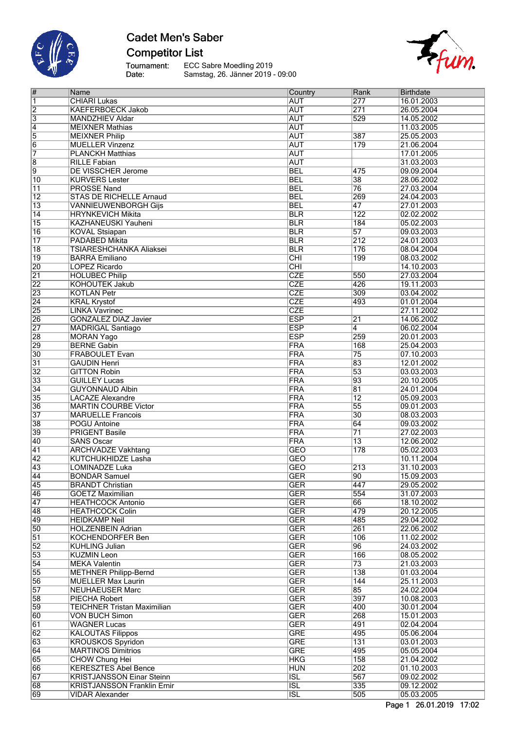

## **Cadet Men's Saber Competitor List**

Tournament:<br>Date:

ECC Sabre Moedling 2019 Samstag, 26. Jänner 2019 - 09:00



| $\#$                    | Name                               | Country                 | Rank            | Birthdate  |
|-------------------------|------------------------------------|-------------------------|-----------------|------------|
| $\vert$ 1               | <b>CHIARI Lukas</b>                | <b>AUT</b>              | 277             | 16.01.2003 |
| $\overline{2}$          | <b>KAEFERBOECK Jakob</b>           | <b>AUT</b>              | 271             | 26.05.2004 |
|                         |                                    |                         |                 |            |
| $\overline{\mathbf{3}}$ | <b>MANDZHIEV Aldar</b>             | <b>AUT</b>              | 529             | 14.05.2002 |
| 4                       | <b>MEIXNER Mathias</b>             | <b>AUT</b>              |                 | 11.03.2005 |
| 5                       | <b>MEIXNER Philip</b>              | <b>AUT</b>              | 387             | 25.05.2003 |
| 6                       | <b>MUELLER Vinzenz</b>             | <b>AUT</b>              | 179             | 21.06.2004 |
| 7                       | <b>PLANCKH Matthias</b>            | <b>AUT</b>              |                 | 17.01.2005 |
| $\overline{8}$          | <b>RILLE Fabian</b>                | <b>AUT</b>              |                 | 31.03.2003 |
|                         |                                    |                         |                 |            |
| 9                       | DE VISSCHER Jerome                 | <b>BEL</b>              | 475             | 09.09.2004 |
| 10                      | <b>KURVERS Lester</b>              | <b>BEL</b>              | 38              | 28.06.2002 |
| $\overline{11}$         | <b>PROSSE Nand</b>                 | <b>BEL</b>              | 76              | 27.03.2004 |
| $\overline{12}$         | <b>STAS DE RICHELLE Arnaud</b>     | <b>BEL</b>              | 269             | 24.04.2003 |
| $\overline{13}$         | <b>VANNIEUWENBORGH Gijs</b>        | <b>BEL</b>              | 47              | 27.01.2003 |
|                         |                                    |                         |                 |            |
| 14                      | <b>HRYNKEVICH Mikita</b>           | <b>BLR</b>              | 122             | 02.02.2002 |
| $\overline{15}$         | KAZHANEUSKI Yauheni                | <b>BLR</b>              | 184             | 05.02.2003 |
| 16                      | <b>KOVAL Stsiapan</b>              | <b>BLR</b>              | 57              | 09.03.2003 |
| 17                      | PADABED Mikita                     | <b>BLR</b>              | 212             | 24.01.2003 |
| $\overline{18}$         | TSIARESHCHANKA Aliaksei            | <b>BLR</b>              | 176             | 08.04.2004 |
| $\overline{19}$         | <b>BARRA Emiliano</b>              | CHI                     | 199             | 08.03.2002 |
|                         |                                    |                         |                 |            |
| $\overline{20}$         | <b>LOPEZ Ricardo</b>               | CHI                     |                 | 14.10.2003 |
| $\overline{21}$         | <b>HOLUBEC Philip</b>              | <b>CZE</b>              | 550             | 27.03.2004 |
| $\overline{22}$         | <b>KOHOUTEK Jakub</b>              | <b>CZE</b>              | 426             | 19.11.2003 |
| 23                      | <b>KOTLAN Petr</b>                 | <b>CZE</b>              | 309             | 03.04.2002 |
| 24                      | <b>KRAL Krystof</b>                | <b>CZE</b>              | 493             | 01.01.2004 |
| $\overline{25}$         | <b>LINKA Vavrinec</b>              | <b>CZE</b>              |                 | 27.11.2002 |
|                         |                                    |                         |                 |            |
| 26                      | <b>GONZALEZ DIAZ Javier</b>        | <b>ESP</b>              | 21              | 14.06.2002 |
| 27                      | <b>MADRIGAL Santiago</b>           | <b>ESP</b>              | $\overline{4}$  | 06.02.2004 |
| $\overline{28}$         | <b>MORAN Yago</b>                  | <b>ESP</b>              | 259             | 20.01.2003 |
| 29                      | <b>BERNE Gabin</b>                 | FRA                     | 168             | 25.04.2003 |
| 30                      | <b>FRABOULET Evan</b>              | FRA                     | $\overline{75}$ | 07.10.2003 |
|                         |                                    |                         | 83              |            |
| $\overline{31}$         | <b>GAUDIN Henri</b>                | FRA                     |                 | 12.01.2002 |
| $\overline{32}$         | <b>GITTON Robin</b>                | FRA                     | 53              | 03.03.2003 |
| 33                      | <b>GUILLEY Lucas</b>               | <b>FRA</b>              | 93              | 20.10.2005 |
| $\overline{34}$         | <b>GUYONNAUD Albin</b>             | FRA                     | 81              | 24.01.2004 |
| 35                      | <b>LACAZE Alexandre</b>            | FRA                     | $\overline{12}$ | 05.09.2003 |
| $\overline{36}$         | <b>MARTIN COURBE Victor</b>        | FRA                     | 55              | 09.01.2003 |
|                         |                                    |                         |                 |            |
| $\overline{37}$         | <b>MARUELLE Francois</b>           | FRA                     | 30              | 08.03.2003 |
| 38                      | <b>POGU Antoine</b>                | FRA                     | 64              | 09.03.2002 |
| 39                      | <b>PRIGENT Basile</b>              | FRA                     | $\overline{71}$ | 27.02.2003 |
| 40                      | <b>SANS Oscar</b>                  | FRA                     | $\overline{13}$ | 12.06.2002 |
| 41                      | <b>ARCHVADZE Vakhtang</b>          | <b>GEO</b>              | 178             | 05.02.2003 |
| 42                      | <b>KUTCHUKHIDZE Lasha</b>          | <b>GEO</b>              |                 | 10.11.2004 |
|                         |                                    |                         |                 |            |
| $\overline{43}$         | <b>LOMINADZE Luka</b>              | <b>GEO</b>              | 213             | 31.10.2003 |
| 44                      | <b>BONDAR Samuel</b>               | <b>GER</b>              | $\overline{90}$ | 15.09.2003 |
| 45                      | <b>BRANDT Christian</b>            | <b>GER</b>              | 447             | 29.05.2002 |
| 46                      | <b>GOETZ Maximilian</b>            | <b>GER</b>              | 554             | 31.07.2003 |
| 47                      | <b>HEATHCOCK Antonio</b>           | <b>GER</b>              | 66              | 18.10.2002 |
| 48                      | <b>HEATHCOCK Colin</b>             | <b>GER</b>              | 479             | 20.12.2005 |
|                         |                                    |                         |                 |            |
| 49                      | <b>HEIDKAMP Neil</b>               | <b>GER</b>              | 485             | 29.04.2002 |
| $\overline{50}$         | <b>HOLZENBEIN Adrian</b>           | <b>GER</b>              | 261             | 22.06.2002 |
| $\overline{51}$         | <b>KOCHENDORFER Ben</b>            | <b>GER</b>              | 106             | 11.02.2002 |
| 52                      | <b>KUHLING Julian</b>              | <b>GER</b>              | 96              | 24.03.2002 |
| $\overline{53}$         | <b>KUZMIN Leon</b>                 | <b>GER</b>              | 166             | 08.05.2002 |
|                         |                                    |                         |                 |            |
| 54                      | <b>MEKA Valentin</b>               | <b>GER</b>              | 73              | 21.03.2003 |
| $\overline{55}$         | <b>METHNER Philipp-Bernd</b>       | <b>GER</b>              | 138             | 01.03.2004 |
| 56                      | <b>MUELLER Max Laurin</b>          | <b>GER</b>              | 144             | 25.11.2003 |
| 57                      | <b>NEUHAEUSER Marc</b>             | <b>GER</b>              | 85              | 24.02.2004 |
| 58                      | PIECHA Robert                      | <b>GER</b>              | 397             | 10.08.2003 |
| 59                      | <b>TEICHNER Tristan Maximilian</b> | <b>GER</b>              | 400             | 30.01.2004 |
|                         |                                    |                         |                 |            |
| 60                      | <b>VON BUCH Simon</b>              | <b>GER</b>              | 268             | 15.01.2003 |
| 61                      | <b>WAGNER Lucas</b>                | <b>GER</b>              | 491             | 02.04.2004 |
| 62                      | <b>KALOUTAS Filippos</b>           | <b>GRE</b>              | 495             | 05.06.2004 |
| 63                      | <b>KROUSKOS Spyridon</b>           | <b>GRE</b>              | 131             | 03.01.2003 |
| 64                      | <b>MARTINOS Dimitrios</b>          | <b>GRE</b>              | 495             | 05.05.2004 |
|                         |                                    |                         |                 |            |
| 65                      | <b>CHOW Chung Hei</b>              | HKG                     | 158             | 21.04.2002 |
| 66                      | <b>KERESZTES Abel Bence</b>        | <b>HUN</b>              | 202             | 01.10.2003 |
| 67                      | <b>KRISTJANSSON Einar Steinn</b>   | $\overline{\text{ISL}}$ | 567             | 09.02.2002 |
| 68                      | <b>KRISTJANSSON Franklin Ernir</b> | $\overline{\text{ISL}}$ | 335             | 09.12.2002 |
| $\overline{69}$         | <b>VIDAR Alexander</b>             | $\overline{ISL}$        | 505             | 05.03.2005 |
|                         |                                    |                         |                 |            |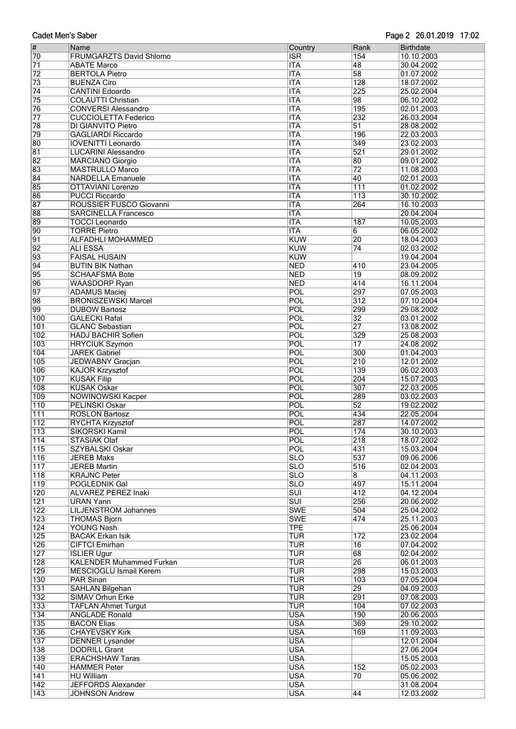|  | <b>Cadet Men's Saber</b> |
|--|--------------------------|
|  |                          |

#### Page 2 26.01.2019 17:02

| $\vert \#$       | Name                            | Country                 | Rank             | <b>Birthdate</b> |
|------------------|---------------------------------|-------------------------|------------------|------------------|
| 70               | <b>FRUMGARZTS David Shlomo</b>  | <b>ISR</b>              | 154              | 10.10.2003       |
| $\overline{71}$  | <b>ABATE Marco</b>              | <b>ITA</b>              | 48               | 30.04.2002       |
| $\overline{72}$  | <b>BERTOLA Pietro</b>           | <b>ITA</b>              | 58               | 01.07.2002       |
| $\overline{73}$  | <b>BUENZA Ciro</b>              | <b>ITA</b>              | 128              | 18.07.2002       |
| $\overline{74}$  | <b>CANTINI Edoardo</b>          | <b>ITA</b>              | 225              | 25.02.2004       |
| 75               | <b>COLAUTTI Christian</b>       | <b>ITA</b>              | 98               | 06.10.2002       |
| 76               | <b>CONVERSI Alessandro</b>      | <b>ITA</b>              | 195              | 02.01.2003       |
| $\overline{77}$  | <b>CUCCIOLETTA Federico</b>     | <b>ITA</b>              | 232              | 26.03.2004       |
| 78               | <b>DI GIANVITO Pietro</b>       | <b>ITA</b>              | $\overline{51}$  | 28.08.2002       |
| 79               | <b>GAGLIARDI Riccardo</b>       | <b>ITA</b>              | 196              | 22.03.2003       |
| 80               | <b>IOVENITTI Leonardo</b>       | <b>ITA</b>              | 349              | 23.02.2003       |
| 81               | <b>LUCARINI Alessandro</b>      | <b>ITA</b>              | $\overline{521}$ | 29.01.2002       |
| 82               | <b>MARCIANO Giorgio</b>         | <b>ITA</b>              | 80               | 09.01.2002       |
| 83               | <b>MASTRULLO Marco</b>          | <b>ITA</b>              | $\overline{72}$  | 11.08.2003       |
| $\overline{84}$  | <b>NARDELLA Emanuele</b>        | <b>ITA</b>              | 40               | 02.01.2003       |
| 85               | <b>OTTAVIANI Lorenzo</b>        | <b>ITA</b>              | 111              | 01.02.2002       |
| 86               | <b>PUCCI Riccardo</b>           | <b>ITA</b>              | 113              | 30.10.2002       |
| $\overline{87}$  | ROUSSIER FUSCO Giovanni         | <b>ITA</b>              | 264              | 16.10.2003       |
| 88               | <b>SARCINELLA Francesco</b>     | <b>ITA</b>              |                  | 20.04.2004       |
| 89               | <b>TOCCI Leonardo</b>           | <b>ITA</b>              | 187              | 10.05.2003       |
| 90               | <b>TORRE Pietro</b>             | <b>ITA</b>              | 6                | 06.05.2002       |
| $\overline{91}$  | <b>ALFADHLI MOHAMMED</b>        | <b>KUW</b>              | 20               | 18.04.2003       |
| $\overline{92}$  | <b>ALI ESSA</b>                 | <b>KUW</b>              | $\overline{74}$  | 02.03.2002       |
| 93               | <b>FAISAL HUSAIN</b>            | <b>KUW</b>              |                  | 19.04.2004       |
| $\overline{94}$  | <b>BUTIN BIK Nathan</b>         | <b>NED</b>              | 410              | 23.04.2005       |
| 95               | <b>SCHAAFSMA Bote</b>           | <b>NED</b>              | $\overline{19}$  | 08.09.2002       |
| 96               | <b>WAASDORP Ryan</b>            | <b>NED</b>              | 414              | 16.11.2004       |
| $\overline{97}$  | <b>ADAMUS Maciej</b>            | POL                     | 297              | 07.05.2003       |
| 98               | <b>BRONISZEWSKI Marcel</b>      | POL                     | 312              | 07.10.2004       |
| 99               | <b>DUBOW Bartosz</b>            | POL                     | 299              | 29.08.2002       |
| 100              | <b>GALECKI Rafal</b>            | POL                     | $\overline{32}$  | 03.01.2002       |
| 101              | <b>GLANC Sebastian</b>          | POL                     | $\overline{27}$  | 13.08.2002       |
| 102              | <b>HADJ BACHIR Sofien</b>       | POL                     | 329              | 25.08.2003       |
| 103              | <b>HRYCIUK Szymon</b>           | POL                     | $\overline{17}$  | 24.08.2002       |
| 104              | <b>JAREK Gabriel</b>            | POL                     | 300              | 01.04.2003       |
| 105              | JEDWABNY Gracjan                | POL                     | 210              | 12.01.2002       |
| 106              | <b>KAJOR Krzysztof</b>          | POL                     | 139              | 06.02.2003       |
| 107              | <b>KUSAK Filip</b>              | POL                     | 204              | 15.07.2003       |
| 108              | <b>KUSAK Oskar</b>              | POL                     | 307              | 22.03.2005       |
| 109              | <b>NOWINOWSKI Kacper</b>        | POL                     | 289              | 03.02.2003       |
| 110              | <b>PELINSKI Oskar</b>           | POL                     | $\overline{52}$  | 19.02.2002       |
| 111              | <b>ROSLON Bartosz</b>           | POL                     | 434              | 22.05.2004       |
| $\overline{112}$ | <b>RYCHTA Krzysztof</b>         | POL                     | 287              | 14.07.2002       |
| 113              | SIKORSKI Kamil                  | POL                     | 174              | 30.10.2003       |
| $\overline{114}$ | <b>STASIAK Olaf</b>             | POL                     | 218              | 18.07.2002       |
| $\overline{115}$ | SZYBALSKI Oskar                 | POL                     | 431              | 15.03.2004       |
| $\overline{116}$ | <b>JEREB Maks</b>               | <b>SLO</b>              | 537              | 09.06.2006       |
| $\overline{117}$ | <b>JEREB Martin</b>             | <b>SLO</b>              | 516              | 02.04.2003       |
| $\overline{118}$ | <b>KRAJNC Peter</b>             | <b>SLO</b>              | $\overline{8}$   | 04.11.2003       |
| $\overline{119}$ | <b>POGLEDNIK Gal</b>            | $\overline{\text{SLO}}$ | 497              | 15.11.2004       |
| $\overline{120}$ | <b>ALVAREZ PEREZ Inaki</b>      | $\overline{\text{SUI}}$ | 412              | 04.12.2004       |
| $\overline{121}$ | <b>URAN Yann</b>                | $\overline{\text{SUI}}$ | 256              | 20.06.2002       |
| 122              | <b>LILJENSTROM Johannes</b>     | <b>SWE</b>              | 504              | 25.04.2002       |
| 123              | <b>THOMAS Bjorn</b>             | <b>SWE</b>              | 474              | 25.11.2003       |
| 124              | YOUNG Nash                      | <b>TPE</b>              |                  | 25.06.2004       |
| 125              | <b>BACAK Erkan Isik</b>         | <b>TUR</b>              | 172              | 23.02.2004       |
| 126              | <b>CIFTCI Emirhan</b>           | <b>TUR</b>              | $\overline{16}$  | 07.04.2002       |
| 127              | <b>ISLIER Ugur</b>              | <b>TUR</b>              | $\overline{68}$  | 02.04.2002       |
| $\overline{128}$ | <b>KALENDER Muhammed Furkan</b> | <b>TUR</b>              | 26               | 06.01.2003       |
| 129              | MESCIOGLU Ismail Kerem          | <b>TUR</b>              | 298              | 15.03.2003       |
| 130              | PAR Sinan                       | <b>TUR</b>              | 103              | 07.05.2004       |
| 131              | <b>SAHLAN Bilgehan</b>          | <b>TUR</b>              | 29               | 04.09.2003       |
| 132              | <b>SIMAV Orhun Erke</b>         | <b>TUR</b>              | 291              | 07.08.2003       |
| 133              | <b>TAFLAN Ahmet Turgut</b>      | <b>TUR</b>              | 104              | 07.02.2003       |
| 134              | <b>ANGLADE Ronald</b>           | <b>USA</b>              | 190              | 20.06.2003       |
| 135              | <b>BACON Elias</b>              | <b>USA</b>              | 369              | 29.10.2002       |
| 136              | <b>CHAYEVSKY Kirk</b>           | <b>USA</b>              | 169              | 11.09.2003       |
| $\overline{137}$ | <b>DENNER Lysander</b>          | <b>USA</b>              |                  | 12.01.2004       |
| 138              | <b>DODRILL Grant</b>            | <b>USA</b>              |                  | 27.06.2004       |
| 139              | <b>ERACHSHAW Taras</b>          | <b>USA</b>              |                  | 15.05.2003       |
| $ 140\rangle$    | <b>HAMMER Peter</b>             | <b>USA</b>              | 152              | 05.02.2003       |
| 141              | <b>HU William</b>               | <b>USA</b>              | $\overline{70}$  | 05.06.2002       |
| $\overline{142}$ | <b>JEFFORDS Alexander</b>       | <b>USA</b>              |                  | 31.08.2004       |
| $\overline{143}$ | <b>JOHNSON Andrew</b>           | <b>USA</b>              | 44               | 12.03.2002       |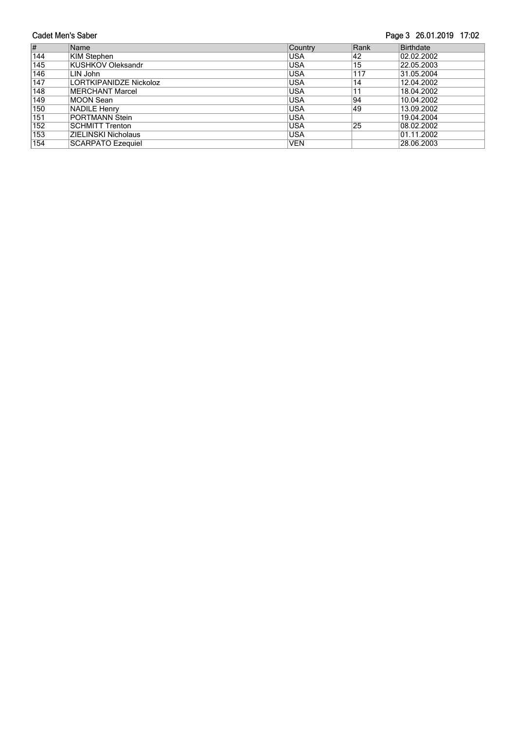#### Page 3 26.01.2019 17:02

| $\vert \#$       | Name                     | Country    | Rank | <b>Birthdate</b> |
|------------------|--------------------------|------------|------|------------------|
| 144              | KIM Stephen              | <b>USA</b> | 42   | 02.02.2002       |
| $\overline{145}$ | <b>KUSHKOV Oleksandr</b> | <b>USA</b> | 15   | 22.05.2003       |
| 146              | LIN John                 | lusa       | 117  | 31.05.2004       |
| 147              | LORTKIPANIDZE Nickoloz   | USA        | 14   | 12.04.2002       |
| 148              | MERCHANT Marcel          | USA        | 11   | 18.04.2002       |
| $\overline{149}$ | MOON Sean                | USA        | 94   | 10.04.2002       |
| 150              | <b>NADILE Henry</b>      | USA        | 49   | 13.09.2002       |
| 151              | PORTMANN Stein           | USA        |      | 19.04.2004       |
| 152              | <b>SCHMITT Trenton</b>   | <b>USA</b> | 25   | 08.02.2002       |
| 153              | ZIELINSKI Nicholaus      | lusa       |      | 01.11.2002       |
| 154              | <b>SCARPATO Ezequiel</b> | <b>VEN</b> |      | 28.06.2003       |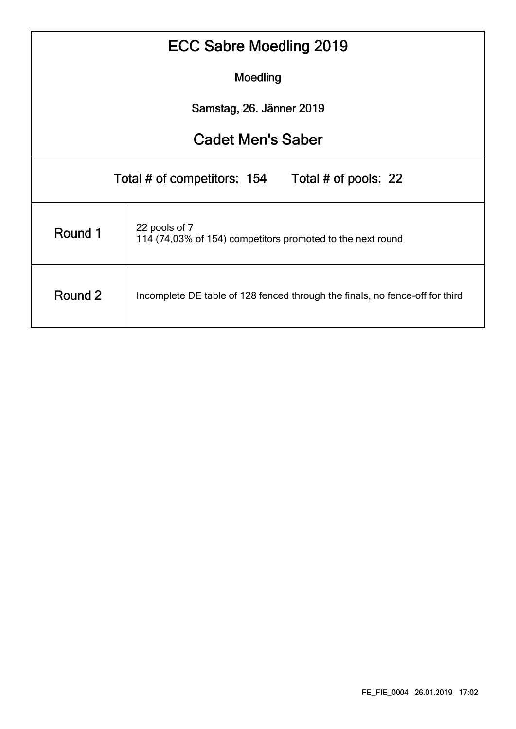| ECC Sabre Moedling 2019                                                                 |                                                                             |  |  |  |  |  |  |  |  |  |  |  |
|-----------------------------------------------------------------------------------------|-----------------------------------------------------------------------------|--|--|--|--|--|--|--|--|--|--|--|
| Moedling                                                                                |                                                                             |  |  |  |  |  |  |  |  |  |  |  |
| Samstag, 26. Jänner 2019                                                                |                                                                             |  |  |  |  |  |  |  |  |  |  |  |
| <b>Cadet Men's Saber</b>                                                                |                                                                             |  |  |  |  |  |  |  |  |  |  |  |
|                                                                                         | Total # of competitors: 154 Total # of pools: 22                            |  |  |  |  |  |  |  |  |  |  |  |
| Round 1                                                                                 | 22 pools of 7<br>114 (74,03% of 154) competitors promoted to the next round |  |  |  |  |  |  |  |  |  |  |  |
| Round 2<br>Incomplete DE table of 128 fenced through the finals, no fence-off for third |                                                                             |  |  |  |  |  |  |  |  |  |  |  |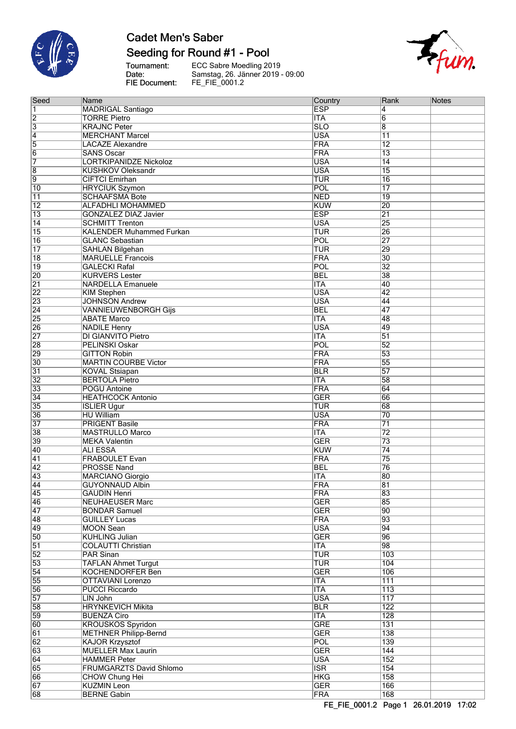

# **Cadet Men's Saber**

### Seeding for Round #1 - Pool

Tournament:<br>Date: FIE Document: ECC Sabre Moedling 2019<br>Samstag, 26. Jänner 2019 - 09:00<br>FE\_FIE\_0001.2



| Seed                               | Name                                                      | Country                  | Rank            | <b>Notes</b> |
|------------------------------------|-----------------------------------------------------------|--------------------------|-----------------|--------------|
| 1                                  | <b>MADRIGAL Santiago</b>                                  | <b>ESP</b>               | 4               |              |
| $\overline{2}$                     | <b>TORRE Pietro</b>                                       | <b>ITA</b>               | $6\overline{6}$ |              |
| $\overline{3}$                     | <b>KRAJNC Peter</b>                                       | <b>SLO</b>               | $\overline{8}$  |              |
| $\overline{4}$                     | <b>MERCHANT Marcel</b>                                    | <b>USA</b>               | $\overline{11}$ |              |
| $\overline{5}$                     | <b>LACAZE Alexandre</b>                                   | <b>FRA</b>               | $\overline{12}$ |              |
| $\overline{6}$                     | <b>SANS Oscar</b>                                         | <b>FRA</b>               | $\overline{13}$ |              |
| 7                                  | <b>LORTKIPANIDZE Nickoloz</b>                             | <b>USA</b>               | $\overline{14}$ |              |
| $\overline{8}$                     | <b>KUSHKOV Oleksandr</b>                                  | <b>USA</b>               | $\overline{15}$ |              |
| g                                  | <b>CIFTCI Emirhan</b>                                     | <b>TUR</b>               | $\overline{16}$ |              |
| 10                                 | <b>HRYCIUK Szymon</b>                                     | POL                      | $\overline{17}$ |              |
| 11                                 | <b>SCHAAFSMA Bote</b>                                     | <b>NED</b>               | $\overline{19}$ |              |
| $\overline{12}$                    | <b>ALFADHLI MOHAMMED</b>                                  | <b>KUW</b>               | 20              |              |
| $\overline{13}$                    | <b>GONZALEZ DIAZ Javier</b>                               | <b>ESP</b>               | $\overline{21}$ |              |
| $\overline{14}$<br>$\overline{15}$ | <b>SCHMITT Trenton</b>                                    | <b>USA</b>               | 25              |              |
| $\overline{16}$                    | <b>KALENDER Muhammed Furkan</b><br><b>GLANC Sebastian</b> | <b>TUR</b><br>POL        | 26<br>27        |              |
| $\overline{17}$                    | <b>SAHLAN Bilgehan</b>                                    | <b>TUR</b>               | 29              |              |
| $\overline{18}$                    | <b>MARUELLE Francois</b>                                  | <b>FRA</b>               | $\overline{30}$ |              |
| $\overline{19}$                    | <b>GALECKI Rafal</b>                                      | <b>POL</b>               | 32              |              |
| 20                                 | <b>KURVERS Lester</b>                                     | <b>BEL</b>               | 38              |              |
| $\overline{21}$                    | <b>NARDELLA Emanuele</b>                                  | <b>ITA</b>               | $\overline{40}$ |              |
| $\overline{22}$                    | <b>KIM Stephen</b>                                        | <b>USA</b>               | 42              |              |
| 23                                 | <b>JOHNSON Andrew</b>                                     | <b>USA</b>               | 44              |              |
| $\overline{24}$                    | <b>VANNIEUWENBORGH Gijs</b>                               | <b>BEL</b>               | 47              |              |
| $\overline{25}$                    | <b>ABATE Marco</b>                                        | <b>ITA</b>               | 48              |              |
| 26                                 | <b>NADILE Henry</b>                                       | <b>USA</b>               | 49              |              |
| $\overline{27}$                    | DI GIANVITO Pietro                                        | <b>ITA</b>               | $\overline{51}$ |              |
| 28                                 | <b>PELINSKI Oskar</b>                                     | POL                      | $\overline{52}$ |              |
| 29                                 | <b>GITTON Robin</b>                                       | <b>FRA</b>               | $\overline{53}$ |              |
| $\overline{30}$                    | <b>MARTIN COURBE Victor</b>                               | <b>FRA</b>               | 55              |              |
| $\overline{31}$                    | <b>KOVAL Stsiapan</b>                                     | <b>BLR</b>               | 57              |              |
| $\overline{32}$                    | <b>BERTOLA Pietro</b>                                     | <b>ITA</b>               | 58              |              |
| 33                                 | <b>POGU Antoine</b>                                       | FRA                      | 64              |              |
| $\overline{34}$                    | <b>HEATHCOCK Antonio</b>                                  | <b>GER</b>               | 66              |              |
| 35                                 | <b>ISLIER Ugur</b>                                        | <b>TUR</b>               | 68              |              |
| 36                                 | <b>HU William</b>                                         | <b>USA</b>               | 70              |              |
| $\overline{37}$                    | <b>PRIGENT Basile</b>                                     | <b>FRA</b>               | 71              |              |
| 38                                 | <b>MASTRULLO Marco</b>                                    | <b>ITA</b>               | $\overline{72}$ |              |
| 39                                 | <b>MEKA Valentin</b>                                      | <b>GER</b>               | $\overline{73}$ |              |
| 40                                 | <b>ALI ESSA</b>                                           | <b>KUW</b>               | $\overline{74}$ |              |
| $\overline{41}$                    | <b>FRABOULET Evan</b>                                     | <b>FRA</b>               | 75              |              |
| $\overline{42}$                    | <b>PROSSE Nand</b>                                        | <b>BEL</b>               | 76              |              |
| 43<br>44                           | <b>MARCIANO Giorgio</b>                                   | <b>ITA</b><br><b>FRA</b> | $ 80\rangle$    |              |
| 45                                 | <b>GUYONNAUD Albin</b><br><b>GAUDIN Henri</b>             | <b>FRA</b>               | 81<br>83        |              |
| 46                                 | <b>NEUHAEUSER Marc</b>                                    | <b>GER</b>               | 85              |              |
| 47                                 | <b>BONDAR Samuel</b>                                      | <b>GER</b>               | $ 90\rangle$    |              |
| 48                                 | <b>GUILLEY Lucas</b>                                      | <b>FRA</b>               | 93              |              |
| 49                                 | <b>MOON Sean</b>                                          | <b>USA</b>               | $\overline{94}$ |              |
| 50                                 | <b>KUHLING Julian</b>                                     | <b>GER</b>               | 96              |              |
| $\overline{51}$                    | <b>COLAUTTI Christian</b>                                 | <b>ITA</b>               | 98              |              |
| 52                                 | <b>PAR Sinan</b>                                          | <b>TUR</b>               | 103             |              |
| 53                                 | <b>TAFLAN Ahmet Turgut</b>                                | <b>TUR</b>               | 104             |              |
| $\overline{54}$                    | <b>KOCHENDORFER Ben</b>                                   | <b>GER</b>               | 106             |              |
| 55                                 | <b>OTTAVIANI Lorenzo</b>                                  | <b>ITA</b>               | 111             |              |
| 56                                 | <b>PUCCI Riccardo</b>                                     | <b>ITA</b>               | 113             |              |
| 57                                 | LIN John                                                  | <b>USA</b>               | 117             |              |
| 58                                 | <b>HRYNKEVICH Mikita</b>                                  | <b>BLR</b>               | 122             |              |
| 59                                 | <b>BUENZA Ciro</b>                                        | ITA                      | 128             |              |
| 60                                 | <b>KROUSKOS Spyridon</b>                                  | <b>GRE</b>               | 131             |              |
| 61                                 | <b>METHNER Philipp-Bernd</b>                              | <b>GER</b>               | 138             |              |
| $\overline{62}$                    | <b>KAJOR Krzysztof</b>                                    | <b>POL</b>               | 139             |              |
| 63                                 | <b>MUELLER Max Laurin</b>                                 | <b>GER</b>               | 144             |              |
| 64                                 | <b>HAMMER Peter</b>                                       | <b>USA</b>               | 152             |              |
| 65                                 | FRUMGARZTS David Shlomo                                   | <b>ISR</b>               | 154             |              |
| 66                                 | <b>CHOW Chung Hei</b>                                     | <b>HKG</b>               | 158             |              |
| 67                                 | <b>KUZMIN Leon</b>                                        | <b>GER</b>               | 166             |              |
| 68                                 | <b>BERNE Gabin</b>                                        | <b>FRA</b>               | 168             |              |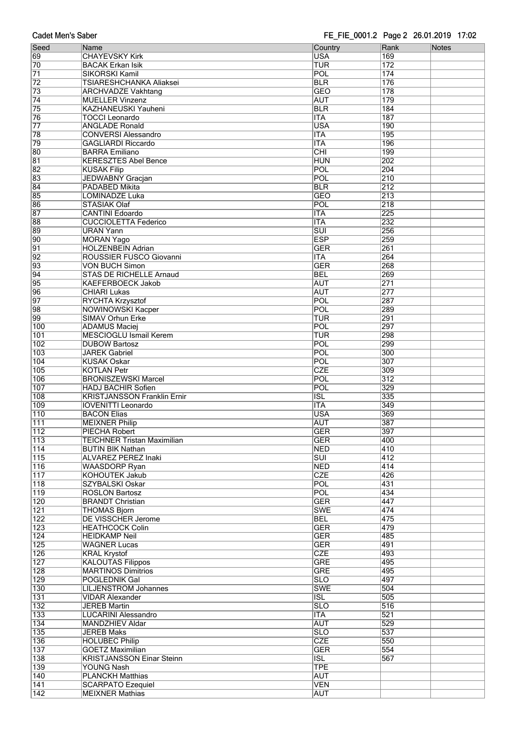| Seed             | Name                               | Country                 | Rank             | <b>Notes</b> |
|------------------|------------------------------------|-------------------------|------------------|--------------|
| 69               | <b>CHAYEVSKY Kirk</b>              | <b>USA</b>              | 169              |              |
| 70               | <b>BACAK Erkan Isik</b>            | TUR                     | 172              |              |
| $\overline{71}$  | <b>SIKORSKI Kamil</b>              | <b>POL</b>              | 174              |              |
| $\overline{72}$  | <b>TSIARESHCHANKA Aliaksei</b>     | <b>BLR</b>              | 176              |              |
|                  |                                    |                         |                  |              |
| 73               | <b>ARCHVADZE Vakhtang</b>          | <b>GEO</b>              | 178              |              |
| $\overline{74}$  | <b>MUELLER Vinzenz</b>             | <b>AUT</b>              | 179              |              |
| 75               | KAZHANEUSKI Yauheni                | <b>BLR</b>              | 184              |              |
| 76               | <b>TOCCI Leonardo</b>              | <b>ITA</b>              | 187              |              |
| $\overline{77}$  | <b>ANGLADE Ronald</b>              | <b>USA</b>              | 190              |              |
| 78               | <b>CONVERSI Alessandro</b>         | <b>ITA</b>              | 195              |              |
| 79               | <b>GAGLIARDI Riccardo</b>          | <b>ITA</b>              | 196              |              |
| 80               | <b>BARRA Emiliano</b>              | $\overline{\text{CHI}}$ | 199              |              |
| $\overline{81}$  | <b>KERESZTES Abel Bence</b>        | <b>HUN</b>              | 202              |              |
| $\overline{82}$  | <b>KUSAK Filip</b>                 | POL                     | 204              |              |
| 83               | JEDWABNY Gracjan                   | POL                     | $\overline{210}$ |              |
| $\overline{84}$  |                                    |                         | 212              |              |
|                  | <b>PADABED Mikita</b>              | <b>BLR</b>              |                  |              |
| 85               | LOMINADZE Luka                     | <b>GEO</b>              | 213              |              |
| 86               | <b>STASIAK Olaf</b>                | POL                     | 218              |              |
| 87               | <b>CANTINI Edoardo</b>             | <b>ITA</b>              | 225              |              |
| 88               | <b>CUCCIOLETTA Federico</b>        | <b>ITA</b>              | 232              |              |
| 89               | <b>URAN Yann</b>                   | $\overline{\text{SUI}}$ | 256              |              |
| 90               | <b>MORAN Yago</b>                  | <b>ESP</b>              | 259              |              |
| $\overline{91}$  | <b>HOLZENBEIN Adrian</b>           | <b>GER</b>              | 261              |              |
| $\overline{92}$  | ROUSSIER FUSCO Giovanni            | <b>ITA</b>              | 264              |              |
| 93               | <b>VON BUCH Simon</b>              | <b>GER</b>              | 268              |              |
| 94               | <b>STAS DE RICHELLE Arnaud</b>     | <b>BEL</b>              | 269              |              |
|                  |                                    | <b>AUT</b>              | 271              |              |
| 95               | <b>KAEFERBOECK Jakob</b>           |                         |                  |              |
| 96               | <b>CHIARI Lukas</b>                | <b>AUT</b>              | 277              |              |
| 97               | RYCHTA Krzysztof                   | POL                     | 287              |              |
| 98               | <b>NOWINOWSKI Kacper</b>           | POL                     | 289              |              |
| 99               | <b>SIMAV Orhun Erke</b>            | TUR                     | 291              |              |
| 100              | <b>ADAMUS Maciej</b>               | POL                     | 297              |              |
| 101              | <b>MESCIOGLU Ismail Kerem</b>      | TUR                     | 298              |              |
| 102              | <b>DUBOW Bartosz</b>               | POL                     | 299              |              |
| 103              | <b>JAREK Gabriel</b>               | POL                     | 300              |              |
| 104              | <b>KUSAK Oskar</b>                 | POL                     | 307              |              |
|                  |                                    | <b>CZE</b>              |                  |              |
| 105              | <b>KOTLAN Petr</b>                 |                         | 309              |              |
| 106              | <b>BRONISZEWSKI Marcel</b>         | POL                     | 312              |              |
| 107              | <b>HADJ BACHIR Sofien</b>          | POL                     | 329              |              |
| 108              | <b>KRISTJANSSON Franklin Ernir</b> | $\overline{\text{ISL}}$ | 335              |              |
| 109              | <b>IOVENITTI Leonardo</b>          | <b>ITA</b>              | 349              |              |
| 110              | <b>BACON Elias</b>                 | <b>USA</b>              | 369              |              |
| 111              | <b>MEIXNER Philip</b>              | <b>AUT</b>              | 387              |              |
| 112              | PIECHA Robert                      | <b>GER</b>              | 397              |              |
| $\overline{113}$ | <b>TEICHNER Tristan Maximilian</b> | <b>GER</b>              | 400              |              |
| 114              | <b>BUTIN BIK Nathan</b>            | <b>NED</b>              | 410              |              |
| 115              | ALVAREZ PEREZ Inaki                | $\overline{\text{SUI}}$ | 412              |              |
| 116              | <b>WAASDORP Ryan</b>               | <b>NED</b>              | 414              |              |
|                  |                                    | <b>CZE</b>              | 426              |              |
| $\overline{117}$ | <b>KOHOUTEK Jakub</b>              |                         |                  |              |
| 118              | SZYBALSKI Oskar                    | POL                     | 431              |              |
| 119              | <b>ROSLON Bartosz</b>              | POL                     | 434              |              |
| 120              | <b>BRANDT Christian</b>            | <b>GER</b>              | 447              |              |
| 121              | <b>THOMAS Bjorn</b>                | <b>SWE</b>              | 474              |              |
| 122              | <b>DE VISSCHER Jerome</b>          | <b>BEL</b>              | 475              |              |
| $\overline{123}$ | <b>HEATHCOCK Colin</b>             | <b>GER</b>              | 479              |              |
| 124              | <b>HEIDKAMP Neil</b>               | <b>GER</b>              | 485              |              |
| 125              | <b>WAGNER Lucas</b>                | <b>GER</b>              | 491              |              |
| 126              | <b>KRAL Krystof</b>                | <b>CZE</b>              | 493              |              |
| $\overline{127}$ | <b>KALOUTAS Filippos</b>           | <b>GRE</b>              | 495              |              |
| $\overline{128}$ | <b>MARTINOS Dimitrios</b>          | <b>GRE</b>              | 495              |              |
| 129              |                                    | $\overline{\text{SLO}}$ | 497              |              |
|                  | POGLEDNIK Gal                      |                         |                  |              |
| 130              | <b>LILJENSTROM Johannes</b>        | <b>SWE</b>              | 504              |              |
| 131              | <b>VIDAR Alexander</b>             | <b>ISL</b>              | 505              |              |
| 132              | <b>JEREB Martin</b>                | $\overline{\text{SLO}}$ | 516              |              |
| 133              | <b>LUCARINI Alessandro</b>         | <b>ITA</b>              | 521              |              |
| 134              | <b>MANDZHIEV Aldar</b>             | <b>AUT</b>              | 529              |              |
| 135              | <b>JEREB Maks</b>                  | $\overline{\text{SLO}}$ | 537              |              |
| 136              | <b>HOLUBEC Philip</b>              | <b>CZE</b>              | 550              |              |
| 137              | <b>GOETZ Maximilian</b>            | <b>GER</b>              | 554              |              |
| 138              | <b>KRISTJANSSON Einar Steinn</b>   | $\overline{ISL}$        | 567              |              |
| 139              | <b>YOUNG Nash</b>                  | <b>TPE</b>              |                  |              |
|                  |                                    | <b>AUT</b>              |                  |              |
| 140              | <b>PLANCKH Matthias</b>            |                         |                  |              |
| 141              | <b>SCARPATO Ezequiel</b>           | <b>VEN</b>              |                  |              |
| $\overline{142}$ | <b>MEIXNER Mathias</b>             | <b>AUT</b>              |                  |              |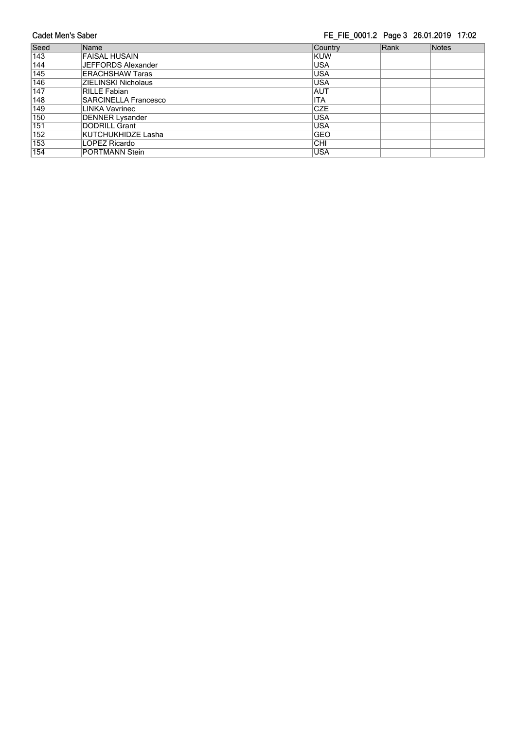**Cadet Men's Saber** FE\_FIE\_0001.2 Page 3 26.01.2019 17:02 Country Seed Name Rank Notes FAISAL HUSAIN<br>JEFFORDS Alexander  $\overline{143}$ KUW  $\overline{\text{USA}}$  $\frac{1}{144}$ **ERACHSHAW Taras** 145 **USA** 146 **ZIELINSKI Nicholaus USA**  $\overline{147}$ RILLE Fabian AUT **SARCINELLA Francesco** 148 **ITA CZE** 149 **LINKA Vavrinec** DENNER Lysander<br>DODRILL Grant<br>KUTCHUKHIDZE Lasha **USA**  $150$ **USA** 151  $\overline{152}$ GEO 153 LOPEZ Ricardo  $|<sub>CHI</sub>$  $\overline{154}$ **PORTMANN Stein** USA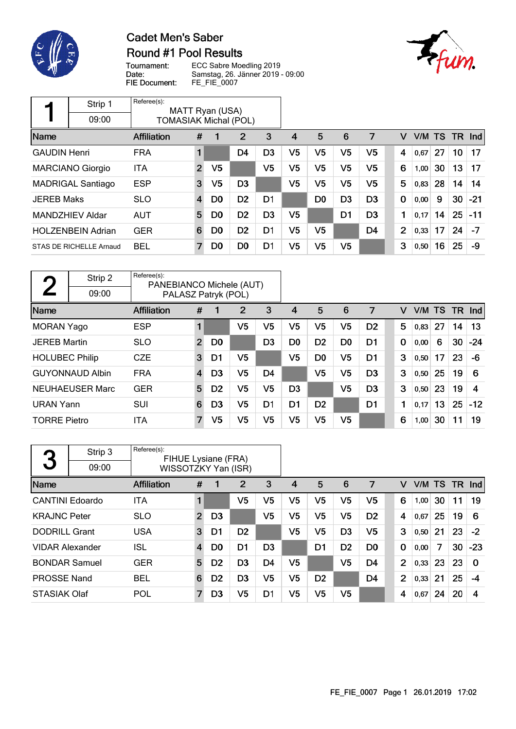

### **Cadet Men's Saber** Round #1 Pool Results



Tournament: Date: FIE Document:

ECC Sabre Moedling 2019 Samstag, 26. Jänner 2019 - 09:00 FE\_FIE\_0007

|                     | Strip 1                  | Referee(s):                  |                | MATT Ryan (USA) |                |                |    |                |                |                |                |                |    |     |       |
|---------------------|--------------------------|------------------------------|----------------|-----------------|----------------|----------------|----|----------------|----------------|----------------|----------------|----------------|----|-----|-------|
|                     | 09:00                    | <b>TOMASIAK Michal (POL)</b> |                |                 |                |                |    |                |                |                |                |                |    |     |       |
| Name                |                          | Affiliation                  | #              |                 | $\overline{2}$ | 3              | 4  | 5              | 6              | 7              | v              | V/M TS         |    | TR. | Ind   |
| <b>GAUDIN Henri</b> |                          | <b>FRA</b>                   | 1              |                 | D4             | D <sub>3</sub> | V5 | V <sub>5</sub> | V <sub>5</sub> | V5             | 4              | 0,67           | 27 | 10  | 17    |
|                     | <b>MARCIANO Giorgio</b>  | <b>ITA</b>                   | $\overline{2}$ | V <sub>5</sub>  |                | V5             | V5 | V <sub>5</sub> | V <sub>5</sub> | V <sub>5</sub> | 6              | 1,00           | 30 | 13  | 17    |
|                     | <b>MADRIGAL Santiago</b> | <b>ESP</b>                   | 3              | V5              | D <sub>3</sub> |                | V5 | V5             | V5             | V5             | 5              | 0,83           | 28 | 14  | 14    |
| <b>JEREB Maks</b>   |                          | <b>SLO</b>                   | $\overline{4}$ | D0              | D <sub>2</sub> | D <sub>1</sub> |    | D <sub>0</sub> | D <sub>3</sub> | D <sub>3</sub> | 0              | 0,00           | 9  | 30  | $-21$ |
|                     | MANDZHIEV Aldar          | <b>AUT</b>                   | 5              | D <sub>0</sub>  | D <sub>2</sub> | D <sub>3</sub> | V5 |                | D <sub>1</sub> | D <sub>3</sub> | 1              | $ 0,17\rangle$ | 14 | 25  | $-11$ |
|                     | <b>HOLZENBEIN Adrian</b> | <b>GER</b>                   | 6              | D0              | D <sub>2</sub> | D1             | V5 | V <sub>5</sub> |                | D <sub>4</sub> | $\overline{2}$ | 0,33           | 17 | 24  | $-7$  |
|                     | STAS DE RICHELLE Arnaud  | <b>BEL</b>                   | 7              | D0              | D <sub>0</sub> | D1             | V5 | V5             | V <sub>5</sub> |                | 3              | 0,50           | 16 | 25  | -9    |

| $\Gamma$              | Strip 2                | Referee(s):<br>PANEBIANCO Michele (AUT) |                         |                |                |                |                |                |                |                |          |      |     |     |       |
|-----------------------|------------------------|-----------------------------------------|-------------------------|----------------|----------------|----------------|----------------|----------------|----------------|----------------|----------|------|-----|-----|-------|
|                       | 09:00                  | PALASZ Patryk (POL)                     |                         |                |                |                |                |                |                |                |          |      |     |     |       |
| Name                  |                        | <b>Affiliation</b>                      | #                       |                | 2              | 3              | 4              | 5              | 6              | 7              | v        | V/M  | TS. | TR. | Ind   |
| <b>MORAN Yago</b>     |                        | <b>ESP</b>                              | 1                       |                | V <sub>5</sub> | V5             | V5             | V <sub>5</sub> | V <sub>5</sub> | D <sub>2</sub> | 5        | 0,83 | 27  | 14  | 13    |
| <b>JEREB Martin</b>   |                        | <b>SLO</b>                              | 2 <sup>2</sup>          | D <sub>0</sub> |                | D <sub>3</sub> | D <sub>0</sub> | D <sub>2</sub> | D <sub>0</sub> | D <sub>1</sub> | $\bf{0}$ | 0,00 | 6   | 30  | $-24$ |
| <b>HOLUBEC Philip</b> |                        | <b>CZE</b>                              | 3                       | D1             | V <sub>5</sub> |                | V <sub>5</sub> | D0             | V <sub>5</sub> | D1             | 3        | 0,50 | 17  | 23  | -6    |
|                       | <b>GUYONNAUD Albin</b> | <b>FRA</b>                              | $\overline{\mathbf{4}}$ | D <sub>3</sub> | V <sub>5</sub> | D <sub>4</sub> |                | V <sub>5</sub> | V <sub>5</sub> | D <sub>3</sub> | 3        | 0,50 | 25  | 19  | 6     |
|                       | <b>NEUHAEUSER Marc</b> | <b>GER</b>                              | 5                       | D <sub>2</sub> | V <sub>5</sub> | V5             | D <sub>3</sub> |                | V <sub>5</sub> | D <sub>3</sub> | 3        | 0,50 | 23  | 19  | 4     |
| <b>URAN Yann</b>      |                        | <b>SUI</b>                              | 6                       | D <sub>3</sub> | V5             | D <sub>1</sub> | D1             | D <sub>2</sub> |                | D1             | 1        | 0,17 | 13  | 25  | $-12$ |
| <b>TORRE Pietro</b>   |                        | <b>ITA</b>                              | $\overline{7}$          | V5             | V5             | V5             | V <sub>5</sub> | V5             | V <sub>5</sub> |                | 6        | 1,00 | 30  | 11  | 19    |

| 3                      | Strip 3 | Referee(s):<br>FIHUE Lysiane (FRA) |                     |                |                |                |                |                |                |                |                |        |    |     |            |
|------------------------|---------|------------------------------------|---------------------|----------------|----------------|----------------|----------------|----------------|----------------|----------------|----------------|--------|----|-----|------------|
|                        | 09:00   |                                    | WISSOTZKY Yan (ISR) |                |                |                |                |                |                |                |                |        |    |     |            |
| Name                   |         | <b>Affiliation</b>                 | #                   |                | 2              | 3              | 4              | 5              | 6              | 7              | V              | V/M TS |    | TR. | <b>Ind</b> |
| <b>CANTINI Edoardo</b> |         | <b>ITA</b>                         |                     |                | V <sub>5</sub> | V5             | V5             | V5             | V <sub>5</sub> | V5             | 6              | 1,00   | 30 | 11  | 19         |
| <b>KRAJNC Peter</b>    |         | <b>SLO</b>                         | $\overline{2}$      | D <sub>3</sub> |                | V5             | V5             | V5             | V5             | D <sub>2</sub> | 4              | 0,67   | 25 | 19  | 6          |
| <b>DODRILL Grant</b>   |         | <b>USA</b>                         | 3                   | D1             | D <sub>2</sub> |                | V5             | V5             | D <sub>3</sub> | V5             | 3              | 0,50   | 21 | 23  | $-2$       |
| <b>VIDAR Alexander</b> |         | <b>ISL</b>                         | $\overline{4}$      | D <sub>0</sub> | D <sub>1</sub> | D <sub>3</sub> |                | D1             | D <sub>2</sub> | D <sub>0</sub> | 0              | 0,00   | 7  | 30  | $-23$      |
| <b>BONDAR Samuel</b>   |         | <b>GER</b>                         | 5                   | D <sub>2</sub> | D <sub>3</sub> | D <sub>4</sub> | V <sub>5</sub> |                | V5             | D4             | $\overline{2}$ | 0,33   | 23 | 23  | $\Omega$   |
| <b>PROSSE Nand</b>     |         | <b>BEL</b>                         | 6                   | D <sub>2</sub> | D <sub>3</sub> | V <sub>5</sub> | V5             | D <sub>2</sub> |                | D4             | $\overline{2}$ | 0,33   | 21 | 25  | $-4$       |
| <b>STASIAK Olaf</b>    |         | POL                                | 7                   | D <sub>3</sub> | V5             | D1             | V5             | V5             | V5             |                | 4              | 0.67   | 24 | 20  | 4          |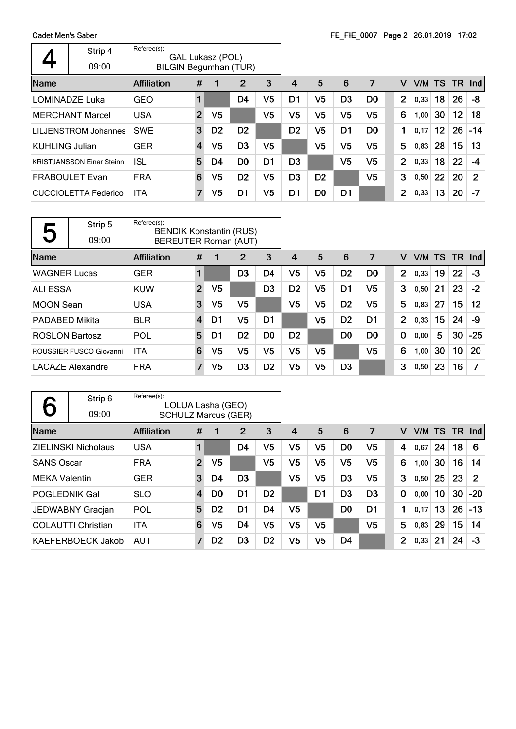Cadet Men's Saber  $\overline{\phantom{a}}$ 

|                       | Strip 4<br>09:00                 | Referee(s):<br>GAL Lukasz (POL)<br><b>BILGIN Begumhan (TUR)</b> |                |                |                |                |                |                |                |                |                |        |                 |     |            |
|-----------------------|----------------------------------|-----------------------------------------------------------------|----------------|----------------|----------------|----------------|----------------|----------------|----------------|----------------|----------------|--------|-----------------|-----|------------|
| Name                  |                                  | Affiliation                                                     | #              | $\mathbf 1$    | $\overline{2}$ | 3              | 4              | 5              | 6              | 7              | v              | V/M TS |                 | -TR | <b>Ind</b> |
|                       | LOMINADZE Luka                   | GEO                                                             |                |                | D4             | V5             | D1             | V5             | D <sub>3</sub> | D <sub>0</sub> | $\overline{2}$ | 0,33   | 18              | 26  | -8         |
|                       | <b>MERCHANT Marcel</b>           | <b>USA</b>                                                      | $\overline{2}$ | V5             |                | V5             | V5             | V5             | V5             | V5             | 6              | 1,00   | 30              | 12  | 18         |
|                       | LILJENSTROM Johannes             | <b>SWE</b>                                                      | 3              | D <sub>2</sub> | D <sub>2</sub> |                | D <sub>2</sub> | V5             | D1             | D <sub>0</sub> | 1              | 0,17   | 12 <sub>2</sub> | 26  | $-14$      |
| <b>KUHLING Julian</b> |                                  | <b>GER</b>                                                      | $\overline{4}$ | V5             | D <sub>3</sub> | V5             |                | V5             | V5             | V5             | 5              | 0,83   | 28              | 15  | 13         |
|                       | <b>KRISTJANSSON Einar Steinn</b> | ISL                                                             | 5              | D4             | D <sub>0</sub> | D <sub>1</sub> | D <sub>3</sub> |                | V <sub>5</sub> | V5             | $\mathbf{2}$   | 0,33   | 18              | 22  | -4         |
|                       | <b>FRABOULET Evan</b>            | <b>FRA</b>                                                      | 6              | V5             | D <sub>2</sub> | V5             | D <sub>3</sub> | D <sub>2</sub> |                | V <sub>5</sub> | 3              | 0,50   | 22              | 20  | 2          |
|                       | <b>CUCCIOLETTA Federico</b>      | <b>ITA</b>                                                      | 7              | V5             | D1             | V5             | D1             | D <sub>0</sub> | D1             |                | $\overline{2}$ | 0,33   | 13              | 20  | -7         |

|                       | Strip 5                 | Referee(s):        |                                                               |                |                |                |                |                |                |                |                |      |        |     |            |
|-----------------------|-------------------------|--------------------|---------------------------------------------------------------|----------------|----------------|----------------|----------------|----------------|----------------|----------------|----------------|------|--------|-----|------------|
| J                     | 09:00                   |                    | <b>BENDIK Konstantin (RUS)</b><br><b>BEREUTER Roman (AUT)</b> |                |                |                |                |                |                |                |                |      |        |     |            |
| Name                  |                         | <b>Affiliation</b> | #                                                             | 1              | 2              | 3              | 4              | 5              | 6              | 7              | v              |      | V/M TS | TR. | <b>Ind</b> |
| <b>WAGNER Lucas</b>   |                         | <b>GER</b>         | 1                                                             |                | D3             | D4             | V5             | V5             | D <sub>2</sub> | D <sub>0</sub> | $\overline{2}$ | 0,33 | 19     | 22  | -3         |
| ALI ESSA              |                         | <b>KUW</b>         | $\overline{2}$                                                | V <sub>5</sub> |                | D <sub>3</sub> | D <sub>2</sub> | V5             | D1             | V5             | 3              | 0,50 | 21     | 23  | $-2$       |
| <b>MOON Sean</b>      |                         | <b>USA</b>         | 3                                                             | V <sub>5</sub> | V <sub>5</sub> |                | V <sub>5</sub> | V <sub>5</sub> | D <sub>2</sub> | V <sub>5</sub> | 5              | 0,83 | 27     | 15  | 12         |
| <b>PADABED Mikita</b> |                         | <b>BLR</b>         | $\overline{4}$                                                | D1             | V <sub>5</sub> | D1             |                | V5             | D <sub>2</sub> | D <sub>1</sub> | $\overline{2}$ | 0,33 | 15     | 24  | -9         |
| <b>ROSLON Bartosz</b> |                         | POL                | 5                                                             | D1             | D <sub>2</sub> | D <sub>0</sub> | D <sub>2</sub> |                | D <sub>0</sub> | D <sub>0</sub> | $\bf{0}$       | 0,00 | 5      | 30  | $-25$      |
|                       | ROUSSIER FUSCO Giovanni | <b>ITA</b>         | 6                                                             | V5             | V <sub>5</sub> | V5             | V5             | V5             |                | V5             | 6              | 1,00 | 30     | 10  | 20         |
|                       | <b>LACAZE Alexandre</b> | <b>FRA</b>         | $\overline{7}$                                                | V5             | D <sub>3</sub> | D <sub>2</sub> | V5             | V5             | D <sub>3</sub> |                | 3              | 0,50 | 23     | 16  | 7          |

|                      | Strip 6                    | Referee(s):<br>LOLUA Lasha (GEO) |                |                |                |                |                |                |                |                |                |      |           |     |                |
|----------------------|----------------------------|----------------------------------|----------------|----------------|----------------|----------------|----------------|----------------|----------------|----------------|----------------|------|-----------|-----|----------------|
|                      | 09:00                      | <b>SCHULZ Marcus (GER)</b>       |                |                |                |                |                |                |                |                |                |      |           |     |                |
| Name                 |                            | <b>Affiliation</b>               | #              | 1              | 2              | 3              | 4              | 5              | 6              | 7              | v              | V/M  | <b>TS</b> | TR. | Ind            |
|                      | <b>ZIELINSKI Nicholaus</b> | <b>USA</b>                       | 1              |                | D4             | V5             | V5             | V5             | D <sub>0</sub> | V5             | 4              | 0,67 | 24        | 18  | 6              |
| <b>SANS Oscar</b>    |                            | <b>FRA</b>                       | $\overline{2}$ | V <sub>5</sub> |                | V <sub>5</sub> | V <sub>5</sub> | V <sub>5</sub> | V <sub>5</sub> | V <sub>5</sub> | 6              | 1,00 | 30        | 16  | 14             |
| <b>MEKA Valentin</b> |                            | <b>GER</b>                       | 3              | D4             | D <sub>3</sub> |                | V <sub>5</sub> | V <sub>5</sub> | D <sub>3</sub> | V <sub>5</sub> | 3              | 0,50 | 25        | 23  | $\overline{2}$ |
| <b>POGLEDNIK Gal</b> |                            | <b>SLO</b>                       | 4              | D <sub>0</sub> | D <sub>1</sub> | D <sub>2</sub> |                | D1             | D <sub>3</sub> | D <sub>3</sub> | $\mathbf 0$    | 0,00 | 10        | 30  | $-20$          |
|                      | JEDWABNY Gracjan           | POL                              | 5              | D <sub>2</sub> | D1             | D <sub>4</sub> | V <sub>5</sub> |                | D <sub>0</sub> | D1             | 1              | 0,17 | 13        | 26  | $-13$          |
|                      | <b>COLAUTTI Christian</b>  | <b>ITA</b>                       | 6              | V <sub>5</sub> | D <sub>4</sub> | V5             | V <sub>5</sub> | V <sub>5</sub> |                | V <sub>5</sub> | 5              | 0,83 | 29        | 15  | 14             |
|                      | KAEFERBOECK Jakob          | AUT                              | $\overline{7}$ | D <sub>2</sub> | D <sub>3</sub> | D <sub>2</sub> | V <sub>5</sub> | V5             | D4             |                | $\overline{2}$ | 0,33 | 21        | 24  | -3             |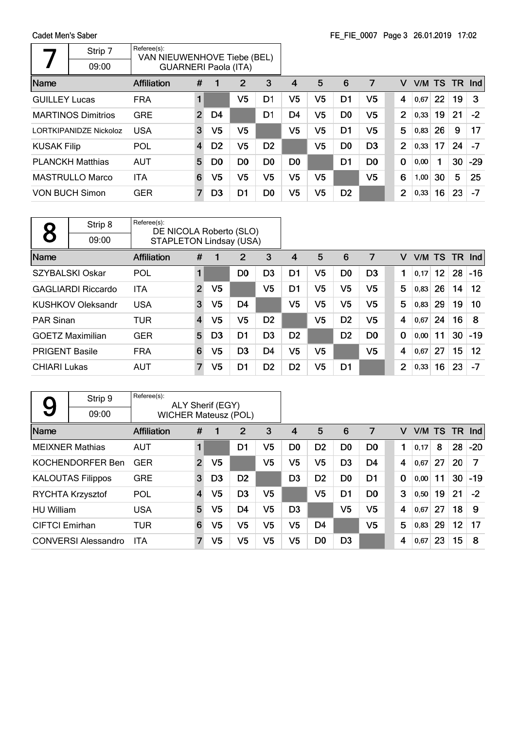|                      | Strip 7<br>09:00          | Referee(s):<br>VAN NIEUWENHOVE Tiebe (BEL) |                |                |                |                |                |                |                |                |             |        |    |           |       |
|----------------------|---------------------------|--------------------------------------------|----------------|----------------|----------------|----------------|----------------|----------------|----------------|----------------|-------------|--------|----|-----------|-------|
| <b>Name</b>          |                           | <b>GUARNERI Paola (ITA)</b><br>Affiliation | #              |                | 2              | 3              | 4              | 5              | 6              | 7              | v           | V/M TS |    | <b>TR</b> | Ind   |
| <b>GUILLEY Lucas</b> |                           | <b>FRA</b>                                 |                |                | V <sub>5</sub> | D1             | V <sub>5</sub> | V <sub>5</sub> | D <sub>1</sub> | V5             | 4           | 0,67   | 22 | 19        | 3     |
|                      | <b>MARTINOS Dimitrios</b> | <b>GRE</b>                                 | $\overline{2}$ | D4             |                | D <sub>1</sub> | D4             | V <sub>5</sub> | D <sub>0</sub> | V5             | 2           | 0,33   | 19 | 21        | $-2$  |
|                      | LORTKIPANIDZE Nickoloz    | <b>USA</b>                                 | 3              | V <sub>5</sub> | V <sub>5</sub> |                | V <sub>5</sub> | V <sub>5</sub> | D <sub>1</sub> | V5             | 5           | 0,83   | 26 | 9         | 17    |
| <b>KUSAK Filip</b>   |                           | POL                                        | $\overline{4}$ | D <sub>2</sub> | V5             | D <sub>2</sub> |                | V5             | D <sub>0</sub> | D <sub>3</sub> | 2           | 0,33   | 17 | 24        | $-7$  |
|                      | <b>PLANCKH Matthias</b>   | <b>AUT</b>                                 | 5              | D <sub>0</sub> | D <sub>0</sub> | D <sub>0</sub> | D0             |                | D1             | D <sub>0</sub> | $\mathbf 0$ | 0,00   | 1  | 30        | $-29$ |
|                      | <b>MASTRULLO Marco</b>    | <b>ITA</b>                                 | 6              | V5             | V5             | V5             | V5             | V5             |                | V5             | 6           | 1,00   | 30 | 5         | 25    |
|                      | <b>VON BUCH Simon</b>     | <b>GER</b>                                 | $\overline{7}$ | D <sub>3</sub> | D1             | D <sub>0</sub> | V5             | V5             | D <sub>2</sub> |                | 2           | 0,33   | 16 | 23        | $-7$  |

 $\label{eq:2.1} \mathcal{L}(\mathcal{L}^{\mathcal{L}}_{\mathcal{L}}(\mathcal{L}^{\mathcal{L}}_{\mathcal{L}})) \leq \mathcal{L}(\mathcal{L}^{\mathcal{L}}_{\mathcal{L}}(\mathcal{L}^{\mathcal{L}}_{\mathcal{L}})) \leq \mathcal{L}(\mathcal{L}^{\mathcal{L}}_{\mathcal{L}}(\mathcal{L}^{\mathcal{L}}_{\mathcal{L}}))$ 

|                       | Strip 8                   | Referee(s):<br>DE NICOLA Roberto (SLO) |                |                |                |                |                |                |                |                |                |      |                 |           |                   |
|-----------------------|---------------------------|----------------------------------------|----------------|----------------|----------------|----------------|----------------|----------------|----------------|----------------|----------------|------|-----------------|-----------|-------------------|
|                       | 09:00                     | <b>STAPLETON Lindsay (USA)</b>         |                |                |                |                |                |                |                |                |                |      |                 |           |                   |
| Name                  |                           | <b>Affiliation</b>                     | #              | 1              | 2              | 3              | 4              | 5              | 6              | 7              | v              | V/M  | <b>TS</b>       | <b>TR</b> | Ind               |
|                       | <b>SZYBALSKI Oskar</b>    | POL                                    | 1              |                | D <sub>0</sub> | D <sub>3</sub> | D <sub>1</sub> | V <sub>5</sub> | D <sub>0</sub> | D <sub>3</sub> | 1              | 0.17 | 12 <sub>2</sub> | 28        | $-16$             |
|                       | <b>GAGLIARDI Riccardo</b> | <b>ITA</b>                             | $\overline{2}$ | V <sub>5</sub> |                | V5             | D1             | V <sub>5</sub> | V <sub>5</sub> | V5             | 5              | 0,83 | 26              | 14        | $12 \overline{ }$ |
|                       | <b>KUSHKOV Oleksandr</b>  | <b>USA</b>                             | 3              | V5             | D <sub>4</sub> |                | V <sub>5</sub> | V <sub>5</sub> | V <sub>5</sub> | V <sub>5</sub> | 5              | 0,83 | 29              | 19        | 10                |
| <b>PAR Sinan</b>      |                           | TUR                                    | $\overline{4}$ | V5             | V <sub>5</sub> | D <sub>2</sub> |                | V <sub>5</sub> | D <sub>2</sub> | V <sub>5</sub> | 4              | 0,67 | 24              | 16        | 8                 |
|                       | <b>GOETZ Maximilian</b>   | <b>GER</b>                             | 5              | D <sub>3</sub> | D <sub>1</sub> | D <sub>3</sub> | D <sub>2</sub> |                | D <sub>2</sub> | D <sub>0</sub> | 0              | 0,00 | 11              | 30        | $-19$             |
| <b>PRIGENT Basile</b> |                           | <b>FRA</b>                             | 6              | V5             | D <sub>3</sub> | D <sub>4</sub> | V <sub>5</sub> | V <sub>5</sub> |                | V <sub>5</sub> | 4              | 0,67 | 27              | 15        | 12                |
| <b>CHIARI Lukas</b>   |                           | <b>AUT</b>                             | $\overline{7}$ | V <sub>5</sub> | D <sub>1</sub> | D <sub>2</sub> | D <sub>2</sub> | V <sub>5</sub> | D1             |                | $\overline{2}$ | 0,33 | 16              | 23        | -7                |

|                       | Strip 9                    | Referee(s):                 |                | ALY Sherif (EGY) |                |                |                |                |                |                |             |   |      |           |           |       |
|-----------------------|----------------------------|-----------------------------|----------------|------------------|----------------|----------------|----------------|----------------|----------------|----------------|-------------|---|------|-----------|-----------|-------|
| 9                     | 09:00                      | <b>WICHER Mateusz (POL)</b> |                |                  |                |                |                |                |                |                |             |   |      |           |           |       |
| Name                  |                            | <b>Affiliation</b>          | #              |                  | 2              | 3              | $\overline{4}$ | 5              | 6              | 7              |             | v | V/M  | <b>TS</b> | <b>TR</b> | Ind   |
|                       | <b>MEIXNER Mathias</b>     | <b>AUT</b>                  | $\blacksquare$ |                  | D1             | V5             | D <sub>0</sub> | D <sub>2</sub> | D <sub>0</sub> | D <sub>0</sub> | 1           |   | 0.17 | 8         | 28        | $-20$ |
|                       | KOCHENDORFER Ben           | <b>GER</b>                  | $\overline{2}$ | V5               |                | V <sub>5</sub> | V <sub>5</sub> | V <sub>5</sub> | D <sub>3</sub> | D <sub>4</sub> | 4           |   | 0.67 | 27        | 20        | 7     |
|                       | <b>KALOUTAS Filippos</b>   | <b>GRE</b>                  | 3              | D <sub>3</sub>   | D <sub>2</sub> |                | D <sub>3</sub> | D <sub>2</sub> | D <sub>0</sub> | D <sub>1</sub> | $\mathbf 0$ |   | 0,00 | 11        | 30        | $-19$ |
|                       | RYCHTA Krzysztof           | POL                         | 4              | V5               | D <sub>3</sub> | V <sub>5</sub> |                | V <sub>5</sub> | D <sub>1</sub> | D <sub>0</sub> | 3           |   | 0,50 | 19        | 21        | $-2$  |
| <b>HU William</b>     |                            | <b>USA</b>                  | 5              | V5               | D4             | V5             | D3             |                | V <sub>5</sub> | V5             | 4           |   | 0,67 | 27        | 18        | 9     |
| <b>CIFTCI</b> Emirhan |                            | <b>TUR</b>                  | 6              | V5               | V <sub>5</sub> | V <sub>5</sub> | V <sub>5</sub> | D <sub>4</sub> |                | V <sub>5</sub> | 5           |   | 0,83 | 29        | 12        | 17    |
|                       | <b>CONVERSI Alessandro</b> | <b>ITA</b>                  | 7              | V <sub>5</sub>   | V <sub>5</sub> | V5             | V <sub>5</sub> | D <sub>0</sub> | D <sub>3</sub> |                | 4           |   | 0,67 | 23        | 15        | 8     |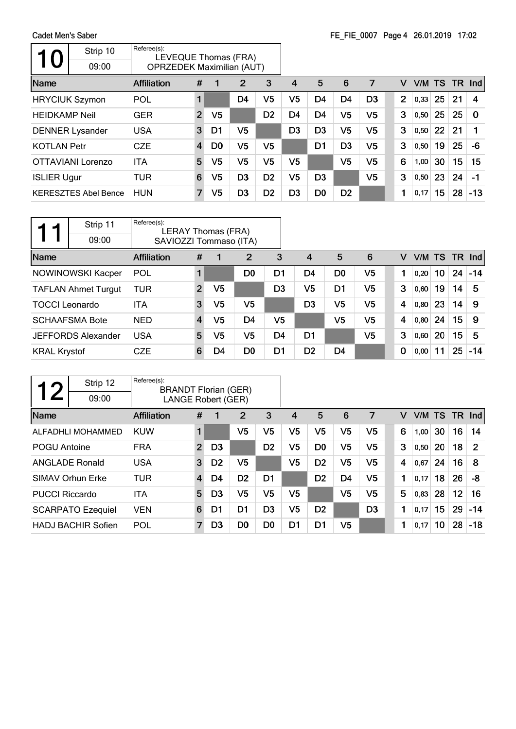|                       | Strip 10<br>09:00           | Referee(s):<br>LEVEQUE Thomas (FRA)<br><b>OPRZEDEK Maximilian (AUT)</b> |                |                |                |                |                |                |                |                |                |        |    |      |       |
|-----------------------|-----------------------------|-------------------------------------------------------------------------|----------------|----------------|----------------|----------------|----------------|----------------|----------------|----------------|----------------|--------|----|------|-------|
| Name                  |                             | Affiliation                                                             | #              |                | 2              | 3              | 4              | 5              | 6              | 7              | v              | V/M TS |    | TR . | Ind   |
| <b>HRYCIUK Szymon</b> |                             | POL                                                                     |                |                | D4             | V5             | V <sub>5</sub> | D <sub>4</sub> | D <sub>4</sub> | D <sub>3</sub> | $\overline{2}$ | 0,33   | 25 | 21   | 4     |
| <b>HEIDKAMP Neil</b>  |                             | <b>GER</b>                                                              | $\overline{2}$ | V <sub>5</sub> |                | D <sub>2</sub> | D4             | D <sub>4</sub> | V <sub>5</sub> | V5             | 3              | 0,50   | 25 | 25   | 0     |
|                       | <b>DENNER Lysander</b>      | <b>USA</b>                                                              | 3              | D1             | V <sub>5</sub> |                | D <sub>3</sub> | D <sub>3</sub> | V <sub>5</sub> | V5             | 3              | 0,50   | 22 | 21   |       |
| <b>KOTLAN Petr</b>    |                             | <b>CZE</b>                                                              | $\overline{4}$ | D <sub>0</sub> | V5             | V5             |                | D <sub>1</sub> | D <sub>3</sub> | V5             | 3              | 0,50   | 19 | 25   | -6    |
|                       | OTTAVIANI Lorenzo           | <b>ITA</b>                                                              | 5              | V5             | V5             | V5             | V5             |                | V5             | V5             | 6              | 1,00   | 30 | 15   | 15    |
| <b>ISLIER Ugur</b>    |                             | TUR                                                                     | 6              | V5             | D <sub>3</sub> | D <sub>2</sub> | V <sub>5</sub> | D <sub>3</sub> |                | V5             | 3              | 0, 50  | 23 | 24   | $-1$  |
|                       | <b>KERESZTES Abel Bence</b> | <b>HUN</b>                                                              | 7              | V5             | D <sub>3</sub> | D <sub>2</sub> | D3             | D <sub>0</sub> | D <sub>2</sub> |                | 1              | 0,17   | 15 | 28   | $-13$ |

|                       | Strip 11                   | Referee(s):<br><b>LERAY Thomas (FRA)</b> |                |                |                |                |                |                |                |          |      |                 |    |               |
|-----------------------|----------------------------|------------------------------------------|----------------|----------------|----------------|----------------|----------------|----------------|----------------|----------|------|-----------------|----|---------------|
|                       | 09:00                      | SAVIOZZI Tommaso (ITA)                   |                |                |                |                |                |                |                |          |      |                 |    |               |
| Name                  |                            | <b>Affiliation</b>                       | #              |                | $\overline{2}$ | 3              | $\overline{4}$ | 5              | 6              | v        |      |                 |    | V/M TS TR Ind |
|                       | <b>NOWINOWSKI Kacper</b>   | <b>POL</b>                               |                |                | D <sub>0</sub> | D1             | D4             | D <sub>0</sub> | V <sub>5</sub> |          | 0.20 | 10 <sup>1</sup> |    | $24 - 14$     |
|                       | <b>TAFLAN Ahmet Turgut</b> | TUR                                      | $\overline{2}$ | V <sub>5</sub> |                | D <sub>3</sub> | V <sub>5</sub> | D <sub>1</sub> | V <sub>5</sub> | 3        | 0,60 | 19              | 14 | 5             |
| <b>TOCCI Leonardo</b> |                            | ITA                                      | 3              | V5             | V5             |                | D <sub>3</sub> | V <sub>5</sub> | V <sub>5</sub> | 4        | 0.80 | 23              | 14 | -9            |
|                       | <b>SCHAAFSMA Bote</b>      | <b>NED</b>                               | 4              | V <sub>5</sub> | D <sub>4</sub> | V <sub>5</sub> |                | V <sub>5</sub> | V <sub>5</sub> | 4        | 0,80 | 24              | 15 | -9            |
|                       | <b>JEFFORDS Alexander</b>  | <b>USA</b>                               | 5              | V5             | V <sub>5</sub> | D4             | D <sub>1</sub> |                | V <sub>5</sub> | 3        | 0,60 | 20              | 15 | 5             |
| <b>KRAL Krystof</b>   |                            | <b>CZE</b>                               | 6              | D4             | D <sub>0</sub> | D <sub>1</sub> | D <sub>2</sub> | D <sub>4</sub> |                | $\bf{0}$ | 0,00 | 11              | 25 | $-14$         |

| $\boldsymbol{\mathcal{D}}$ | Strip 12                  | Referee(s):<br><b>BRANDT Florian (GER)</b> |                |                |                |                |                |                |                |                |   |      |           |     |            |
|----------------------------|---------------------------|--------------------------------------------|----------------|----------------|----------------|----------------|----------------|----------------|----------------|----------------|---|------|-----------|-----|------------|
|                            | 09:00                     | <b>LANGE Robert (GER)</b>                  |                |                |                |                |                |                |                |                |   |      |           |     |            |
| Name                       |                           | <b>Affiliation</b>                         | #              | 1              | 2              | 3              | 4              | 5              | 6              | 7              | v | V/M  | <b>TS</b> | TR. | <b>Ind</b> |
|                            | ALFADHLI MOHAMMED         | <b>KUW</b>                                 | 1              |                | V <sub>5</sub> | V5             | V <sub>5</sub> | V5             | V <sub>5</sub> | V5             | 6 | 1,00 | 30        | 16  | 14         |
| <b>POGU Antoine</b>        |                           | <b>FRA</b>                                 | $\overline{2}$ | D <sub>3</sub> |                | D <sub>2</sub> | V5             | D <sub>0</sub> | V <sub>5</sub> | V5             | 3 | 0,50 | 20        | 18  | 2          |
|                            | <b>ANGLADE Ronald</b>     | <b>USA</b>                                 | 3              | D <sub>2</sub> | V <sub>5</sub> |                | V <sub>5</sub> | D <sub>2</sub> | V <sub>5</sub> | V <sub>5</sub> | 4 | 0,67 | 24        | 16  | 8          |
|                            | SIMAV Orhun Erke          | <b>TUR</b>                                 | 4              | D4             | D <sub>2</sub> | D <sub>1</sub> |                | D <sub>2</sub> | D <sub>4</sub> | V <sub>5</sub> | 1 | 0,17 | 18        | 26  | -8         |
| <b>PUCCI Riccardo</b>      |                           | <b>ITA</b>                                 | 5              | D <sub>3</sub> | V <sub>5</sub> | V5             | V5             |                | V <sub>5</sub> | V5             | 5 | 0,83 | 28        | 12  | 16         |
|                            | <b>SCARPATO Ezequiel</b>  | <b>VEN</b>                                 | 6              | D1             | D1             | D <sub>3</sub> | V <sub>5</sub> | D <sub>2</sub> |                | D <sub>3</sub> | 1 | 0,17 | 15        | 29  | $-14$      |
|                            | <b>HADJ BACHIR Sofien</b> | POL                                        | $\overline{7}$ | D <sub>3</sub> | D <sub>0</sub> | D <sub>0</sub> | D1             | D <sub>1</sub> | V <sub>5</sub> |                | 1 | 0,17 | 10        | 28  | $-18$      |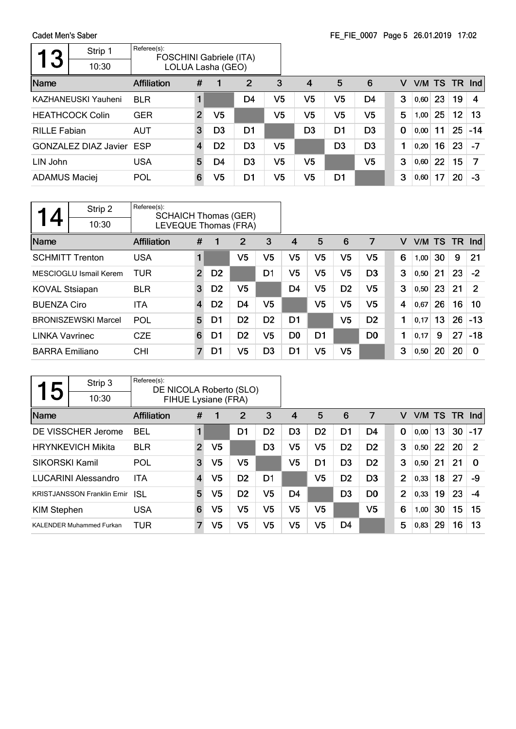Cadet Men's Saber  $\overline{\phantom{a}}$ 

| 3                    | Strip 1<br>10:30                | Referee(s):<br><b>FOSCHINI Gabriele (ITA)</b> |                         | LOLUA Lasha (GEO) |                |    |                |                |                |             |      |    |    |               |
|----------------------|---------------------------------|-----------------------------------------------|-------------------------|-------------------|----------------|----|----------------|----------------|----------------|-------------|------|----|----|---------------|
| <b>Name</b>          |                                 | Affiliation                                   | #                       |                   | 2              | 3  | $\overline{4}$ | 5              | 6              | v           |      |    |    | V/M TS TR Ind |
|                      | <b>KAZHANEUSKI Yauheni</b>      | <b>BLR</b>                                    |                         |                   | D4             | V5 | V5             | V5             | D4             | 3           | 0,60 | 23 | 19 | 4             |
|                      | <b>HEATHCOCK Colin</b>          | <b>GER</b>                                    | $\overline{2}$          | V5                |                | V5 | V5             | V5             | V <sub>5</sub> | 5           | 1,00 | 25 | 12 | 13            |
| <b>RILLE Fabian</b>  |                                 | <b>AUT</b>                                    | 3                       | D <sub>3</sub>    | D1             |    | D3             | D1             | D <sub>3</sub> | $\mathbf 0$ | 0,00 | 11 | 25 | $-14$         |
|                      | <b>GONZALEZ DIAZ Javier ESP</b> |                                               | $\overline{\mathbf{4}}$ | D <sub>2</sub>    | D <sub>3</sub> | V5 |                | D <sub>3</sub> | D <sub>3</sub> | 1           | 0,20 | 16 | 23 | $-7$          |
| LIN John             |                                 | <b>USA</b>                                    | 5                       | D4                | D <sub>3</sub> | V5 | V5             |                | V5             | 3           | 0,60 | 22 | 15 | 7             |
| <b>ADAMUS Maciej</b> |                                 | POL                                           | 6                       | V5                | D1             | V5 | V5             | D <sub>1</sub> |                | 3           | 0,60 | 17 | 20 | -3            |

| 4                     | Strip 2<br>10:30           | Referee(s):<br><b>SCHAICH Thomas (GER)</b><br>LEVEQUE Thomas (FRA) |                |                |                |                |                |                |                |                |   |      |      |     |            |
|-----------------------|----------------------------|--------------------------------------------------------------------|----------------|----------------|----------------|----------------|----------------|----------------|----------------|----------------|---|------|------|-----|------------|
| Name                  |                            | <b>Affiliation</b>                                                 | #              | 1              | 2              | 3              | 4              | 5              | 6              | 7              | v | V/M  | - TS | TR. | <b>Ind</b> |
|                       | <b>SCHMITT Trenton</b>     | <b>USA</b>                                                         |                |                | V5             | V5             | V5             | V <sub>5</sub> | V <sub>5</sub> | V5             | 6 | 1,00 | 30   | 9   | 21         |
|                       | MESCIOGLU Ismail Kerem     | <b>TUR</b>                                                         | $\overline{2}$ | D <sub>2</sub> |                | D1             | V5             | V5             | V5             | D <sub>3</sub> | 3 | 0,50 | 21   | 23  | $-2$       |
| <b>KOVAL Stsiapan</b> |                            | <b>BLR</b>                                                         | 3              | D <sub>2</sub> | V5             |                | D <sub>4</sub> | V5             | D <sub>2</sub> | V5             | 3 | 0,50 | 23   | 21  | 2          |
| <b>BUENZA Ciro</b>    |                            | ITA                                                                | $\overline{4}$ | D <sub>2</sub> | D <sub>4</sub> | V5             |                | V5             | V <sub>5</sub> | V <sub>5</sub> | 4 | 0,67 | 26   | 16  | 10         |
|                       | <b>BRONISZEWSKI Marcel</b> | <b>POL</b>                                                         | 5              | D1             | D <sub>2</sub> | D <sub>2</sub> | D <sub>1</sub> |                | V <sub>5</sub> | D <sub>2</sub> | 1 | 0,17 | 13   | 26  | $-13$      |
| <b>LINKA Vavrinec</b> |                            | <b>CZE</b>                                                         | 6              | D1             | D <sub>2</sub> | V5             | D <sub>0</sub> | D <sub>1</sub> |                | D <sub>0</sub> | 1 | 0,17 | 9    | 27  | $-18$      |
| <b>BARRA Emiliano</b> |                            | <b>CHI</b>                                                         | 7              | D1             | V5             | D <sub>3</sub> | D <sub>1</sub> | V5             | V <sub>5</sub> |                | 3 | 0,50 | 20   | 20  | $\Omega$   |

| 5                  | Strip 3                            | Referee(s):<br>DE NICOLA Roberto (SLO) |                |                |                |                |                |                |                |                |                |      |    |     |                |
|--------------------|------------------------------------|----------------------------------------|----------------|----------------|----------------|----------------|----------------|----------------|----------------|----------------|----------------|------|----|-----|----------------|
|                    | 10:30                              | FIHUE Lysiane (FRA)                    |                |                |                |                |                |                |                |                |                |      |    |     |                |
| Name               |                                    | <b>Affiliation</b>                     | #              |                | 2              | 3              | 4              | 5              | 6              | 7              | v              | V/M  | TS | TR. | Ind            |
|                    | DE VISSCHER Jerome                 | <b>BEL</b>                             | 1              |                | D1             | D <sub>2</sub> | D <sub>3</sub> | D <sub>2</sub> | D1             | D4             | 0              | 0.00 | 13 | 30  | $-17$          |
|                    | <b>HRYNKEVICH Mikita</b>           | <b>BLR</b>                             | $\overline{2}$ | V <sub>5</sub> |                | D <sub>3</sub> | V <sub>5</sub> | V <sub>5</sub> | D <sub>2</sub> | D <sub>2</sub> | 3              | 0,50 | 22 | 20  | $\overline{2}$ |
| SIKORSKI Kamil     |                                    | POL                                    | 3              | V5             | V5             |                | V5             | D1             | D <sub>3</sub> | D <sub>2</sub> | 3              | 0,50 | 21 | 21  | $\Omega$       |
|                    | <b>LUCARINI Alessandro</b>         | <b>ITA</b>                             | 4              | V5             | D <sub>2</sub> | D1             |                | V5             | D <sub>2</sub> | D <sub>3</sub> | $\overline{2}$ | 0,33 | 18 | 27  | -9             |
|                    | <b>KRISTJANSSON Franklin Ernir</b> | ISL                                    | 5              | V5             | D <sub>2</sub> | V5             | D <sub>4</sub> |                | D <sub>3</sub> | D <sub>0</sub> | $\overline{2}$ | 0.33 | 19 | 23  | -4             |
| <b>KIM Stephen</b> |                                    | <b>USA</b>                             | 6              | V5             | V5             | V5             | V5             | V <sub>5</sub> |                | V <sub>5</sub> | 6              | 1,00 | 30 | 15  | 15             |
|                    | <b>KALENDER Muhammed Furkan</b>    | TUR                                    | 7              | V5             | V5             | V5             | V5             | V5             | D4             |                | 5              | 0,83 | 29 | 16  | 13             |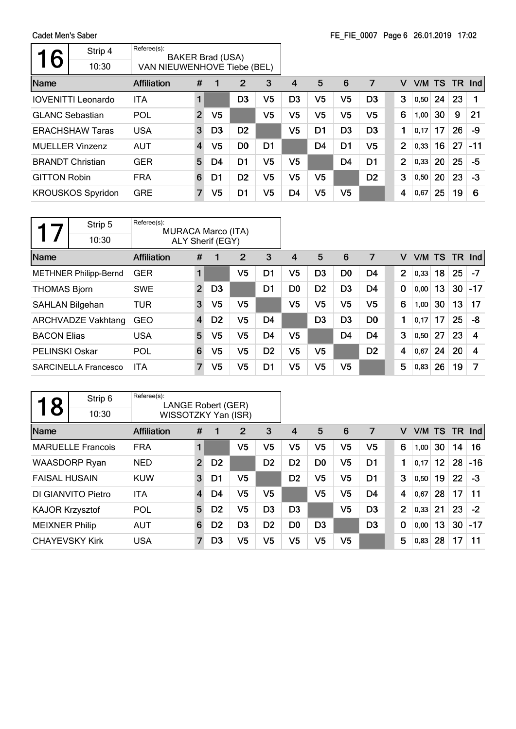|                     |                           |                             |                |                         |                |                |                |                |                | $\frac{1}{2}$ $\frac{1}{2}$ $\frac{1}{2}$ $\frac{1}{2}$ $\frac{1}{2}$ $\frac{1}{2}$ $\frac{1}{2}$ $\frac{1}{2}$ $\frac{1}{2}$ $\frac{1}{2}$ $\frac{1}{2}$ $\frac{1}{2}$ $\frac{1}{2}$ $\frac{1}{2}$ $\frac{1}{2}$ $\frac{1}{2}$ $\frac{1}{2}$ $\frac{1}{2}$ $\frac{1}{2}$ $\frac{1}{2}$ $\frac{1}{2}$ $\frac{1}{2}$ |                |      |        |        |       |
|---------------------|---------------------------|-----------------------------|----------------|-------------------------|----------------|----------------|----------------|----------------|----------------|---------------------------------------------------------------------------------------------------------------------------------------------------------------------------------------------------------------------------------------------------------------------------------------------------------------------|----------------|------|--------|--------|-------|
| 6                   | Strip 4                   | Referee(s):                 |                | <b>BAKER Brad (USA)</b> |                |                |                |                |                |                                                                                                                                                                                                                                                                                                                     |                |      |        |        |       |
|                     | 10:30                     | VAN NIEUWENHOVE Tiebe (BEL) |                |                         |                |                |                |                |                |                                                                                                                                                                                                                                                                                                                     |                |      |        |        |       |
| Name                |                           | <b>Affiliation</b>          | #              |                         | 2              | 3              | 4              | 5              | 6              | 7                                                                                                                                                                                                                                                                                                                   | v              |      | V/M TS | TR Ind |       |
|                     | <b>IOVENITTI Leonardo</b> | <b>ITA</b>                  | $\blacksquare$ |                         | D <sub>3</sub> | V5             | D3             | V <sub>5</sub> | V <sub>5</sub> | D <sub>3</sub>                                                                                                                                                                                                                                                                                                      | 3              | 0,50 | 24     | 23     |       |
|                     | <b>GLANC Sebastian</b>    | POL                         | $\overline{2}$ | V5                      |                | V5             | V5             | V5             | V5             | V5                                                                                                                                                                                                                                                                                                                  | 6              | 1,00 | 30     | 9      | 21    |
|                     | <b>ERACHSHAW Taras</b>    | <b>USA</b>                  | 3              | D <sub>3</sub>          | D <sub>2</sub> |                | V5             | D <sub>1</sub> | D <sub>3</sub> | D <sub>3</sub>                                                                                                                                                                                                                                                                                                      | 1              | 0,17 | 17     | 26     | -9    |
|                     | <b>MUELLER Vinzenz</b>    | <b>AUT</b>                  | $\overline{4}$ | V5                      | D <sub>0</sub> | D <sub>1</sub> |                | D <sub>4</sub> | D <sub>1</sub> | V5                                                                                                                                                                                                                                                                                                                  | $\overline{2}$ | 0,33 | 16     | 27     | $-11$ |
|                     | <b>BRANDT Christian</b>   | <b>GER</b>                  | 5              | D4                      | D <sub>1</sub> | V5             | V <sub>5</sub> |                | D <sub>4</sub> | D <sub>1</sub>                                                                                                                                                                                                                                                                                                      | 2              | 0,33 | 20     | 25     | $-5$  |
| <b>GITTON Robin</b> |                           | <b>FRA</b>                  | 6              | D1                      | D <sub>2</sub> | V5             | V <sub>5</sub> | V5             |                | D <sub>2</sub>                                                                                                                                                                                                                                                                                                      | 3              | 0,50 | 20     | 23     | $-3$  |
|                     | <b>KROUSKOS Spyridon</b>  | <b>GRE</b>                  | $\overline{7}$ | V <sub>5</sub>          | D1             | V5             | D4             | V5             | V5             |                                                                                                                                                                                                                                                                                                                     | 4              | 0,67 | 25     | 19     | 6     |
|                     |                           |                             |                |                         |                |                |                |                |                |                                                                                                                                                                                                                                                                                                                     |                |      |        |        |       |

|                        | Strip 5                      | Referee(s):<br><b>MURACA Marco (ITA)</b> |                |                  |    |                |                |                |                |                |                |        |    |           |            |
|------------------------|------------------------------|------------------------------------------|----------------|------------------|----|----------------|----------------|----------------|----------------|----------------|----------------|--------|----|-----------|------------|
|                        | 10:30                        |                                          |                | ALY Sherif (EGY) |    |                |                |                |                |                |                |        |    |           |            |
| Name                   |                              | <b>Affiliation</b>                       | #              | 1                | 2  | 3              | 4              | 5              | 6              | 7              | v              | V/M TS |    | <b>TR</b> | <b>Ind</b> |
|                        | <b>METHNER Philipp-Bernd</b> | <b>GER</b>                               | 1              |                  | V5 | D1             | V5             | D <sub>3</sub> | D <sub>0</sub> | D4             | $\overline{2}$ | 0,33   | 18 | 25        | $-7$       |
| <b>THOMAS Bjorn</b>    |                              | <b>SWE</b>                               | $\overline{2}$ | D <sub>3</sub>   |    | D1             | D <sub>0</sub> | D <sub>2</sub> | D <sub>3</sub> | D <sub>4</sub> | $\bf{0}$       | 0,00   | 13 | 30        | $-17$      |
| <b>SAHLAN Bilgehan</b> |                              | <b>TUR</b>                               | 3              | V5               | V5 |                | V5             | V5             | V5             | V5             | 6              | 1,00   | 30 | 13        | 17         |
|                        | <b>ARCHVADZE Vakhtang</b>    | <b>GEO</b>                               | $\overline{4}$ | D <sub>2</sub>   | V5 | D4             |                | D <sub>3</sub> | D <sub>3</sub> | D <sub>0</sub> | 1              | 0,17   | 17 | 25        | -8         |
| <b>BACON Elias</b>     |                              | <b>USA</b>                               | 5              | V5               | V5 | D <sub>4</sub> | V <sub>5</sub> |                | D <sub>4</sub> | D <sub>4</sub> | 3              | 0,50   | 27 | 23        | 4          |
| <b>PELINSKI Oskar</b>  |                              | POL                                      | 6              | V5               | V5 | D <sub>2</sub> | V <sub>5</sub> | V5             |                | D <sub>2</sub> | 4              | 0,67   | 24 | 20        | 4          |
|                        | <b>SARCINELLA Francesco</b>  | <b>ITA</b>                               | 7              | V5               | V5 | D1             | V <sub>5</sub> | V <sub>5</sub> | V5             |                | 5              | 0,83   | 26 | 19        | 7          |

| 8                      | Strip 6                  | Referee(s):<br>LANGE Robert (GER) |                |                |                |                |                |                |                |                |             |           |                 |    |       |
|------------------------|--------------------------|-----------------------------------|----------------|----------------|----------------|----------------|----------------|----------------|----------------|----------------|-------------|-----------|-----------------|----|-------|
|                        | 10:30                    | WISSOTZKY Yan (ISR)               |                |                |                |                |                |                |                |                |             |           |                 |    |       |
| Name                   |                          | <b>Affiliation</b>                | #              |                | 2              | 3              | 4              | 5              | 6              | 7              | v           | V/M TS TR |                 |    | Ind   |
|                        | <b>MARUELLE Francois</b> | <b>FRA</b>                        | 1              |                | V <sub>5</sub> | V <sub>5</sub> | V <sub>5</sub> | V <sub>5</sub> | V <sub>5</sub> | V5             | 6           | 1,00      | 30              | 14 | 16    |
|                        | <b>WAASDORP Ryan</b>     | <b>NED</b>                        | $\overline{2}$ | D <sub>2</sub> |                | D <sub>2</sub> | D <sub>2</sub> | D <sub>0</sub> | V <sub>5</sub> | D <sub>1</sub> | 1           | 0.17      | 12 <sup>2</sup> | 28 | $-16$ |
| <b>FAISAL HUSAIN</b>   |                          | <b>KUW</b>                        | 3              | D1             | V5             |                | D <sub>2</sub> | V <sub>5</sub> | V <sub>5</sub> | D <sub>1</sub> | 3           | 0,50      | 19              | 22 | -3    |
|                        | DI GIANVITO Pietro       | <b>ITA</b>                        | $\overline{4}$ | D4             | V <sub>5</sub> | V <sub>5</sub> |                | V <sub>5</sub> | V <sub>5</sub> | D <sub>4</sub> | 4           | 0,67      | 28              | 17 | 11    |
| <b>KAJOR Krzysztof</b> |                          | POL                               | 5              | D <sub>2</sub> | V <sub>5</sub> | D <sub>3</sub> | D <sub>3</sub> |                | V <sub>5</sub> | D <sub>3</sub> | 2           | 0.33      | 21              | 23 | $-2$  |
| <b>MEIXNER Philip</b>  |                          | <b>AUT</b>                        | 6              | D <sub>2</sub> | D <sub>3</sub> | D <sub>2</sub> | D <sub>0</sub> | D <sub>3</sub> |                | D <sub>3</sub> | $\mathbf 0$ | 0,00      | 13              | 30 | $-17$ |
| <b>CHAYEVSKY Kirk</b>  |                          | <b>USA</b>                        | 7              | D3             | V <sub>5</sub> | V <sub>5</sub> | V <sub>5</sub> | V <sub>5</sub> | V <sub>5</sub> |                | 5           | 0,83      | 28              | 17 | 11    |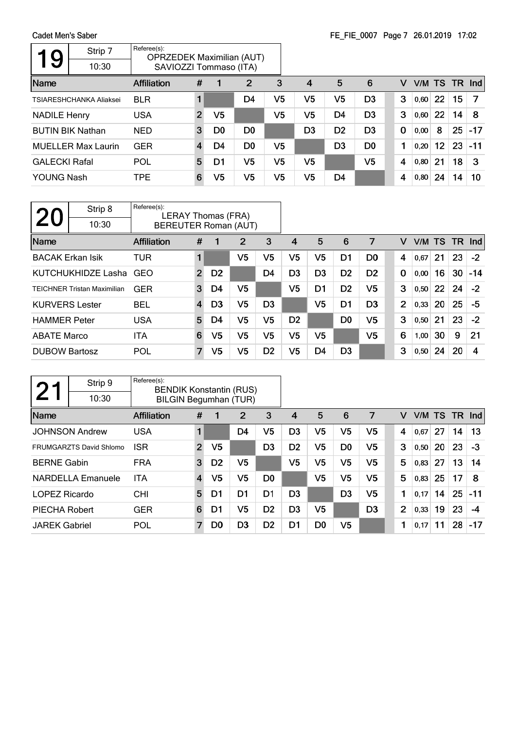| 9                    | Strip 7                        | Referee(s):<br><b>OPRZEDEK Maximilian (AUT)</b> |                |                |                |                |                |                |                |             |      |        |    |        |
|----------------------|--------------------------------|-------------------------------------------------|----------------|----------------|----------------|----------------|----------------|----------------|----------------|-------------|------|--------|----|--------|
|                      | 10:30                          | SAVIOZZI Tommaso (ITA)                          |                |                |                |                |                |                |                |             |      |        |    |        |
| Name                 |                                | <b>Affiliation</b>                              | #              |                | 2              | 3              | 4              | 5              | 6              | v           |      | V/M TS |    | TR Ind |
|                      | <b>TSIARESHCHANKA Aliaksei</b> | <b>BLR</b>                                      |                |                | D <sub>4</sub> | V <sub>5</sub> | V5             | V5             | D <sub>3</sub> | 3           | 0,60 | 22     | 15 |        |
| <b>NADILE Henry</b>  |                                | <b>USA</b>                                      | $\overline{2}$ | V <sub>5</sub> |                | V <sub>5</sub> | V <sub>5</sub> | D <sub>4</sub> | D <sub>3</sub> | 3           | 0,60 | 22     | 14 | 8      |
|                      | <b>BUTIN BIK Nathan</b>        | <b>NED</b>                                      | 3              | D0             | D <sub>0</sub> |                | D <sub>3</sub> | D <sub>2</sub> | D <sub>3</sub> | $\mathbf 0$ | 0,00 | 8      | 25 | $-17$  |
|                      | <b>MUELLER Max Laurin</b>      | <b>GER</b>                                      | 4              | D4             | D <sub>0</sub> | V5             |                | D <sub>3</sub> | D <sub>0</sub> | 1           | 0,20 | 12     | 23 | $-11$  |
| <b>GALECKI Rafal</b> |                                | POL                                             | 5              | D1             | V5             | V5             | V5             |                | V5             | 4           | 0,80 | 21     | 18 | 3      |
| YOUNG Nash           |                                | <b>TPE</b>                                      | 6              | V5             | V5             | V5             | V5             | D <sub>4</sub> |                | 4           | 0,80 | 24     | 14 | 10     |

| <b>20</b>               | Strip 8<br>10:30                   | Referee(s):        | LERAY Thomas (FRA)<br><b>BEREUTER Roman (AUT)</b> |                |                |                |                |                |                |                |                |      |     |    |        |
|-------------------------|------------------------------------|--------------------|---------------------------------------------------|----------------|----------------|----------------|----------------|----------------|----------------|----------------|----------------|------|-----|----|--------|
| Name                    |                                    | <b>Affiliation</b> | #                                                 |                | 2              | 3              | $\overline{4}$ | 5              | 6              | 7              | v              | V/M  | TS. |    | TR Ind |
| <b>BACAK Erkan Isik</b> |                                    | TUR                |                                                   |                | V <sub>5</sub> | V5             | V <sub>5</sub> | V <sub>5</sub> | D <sub>1</sub> | D <sub>0</sub> | 4              | 0,67 | 21  | 23 | $-2$   |
|                         | KUTCHUKHIDZE Lasha                 | GEO                | $\overline{2}$                                    | D <sub>2</sub> |                | D <sub>4</sub> | D <sub>3</sub> | D <sub>3</sub> | D <sub>2</sub> | D <sub>2</sub> | $\mathbf 0$    | 0,00 | 16  | 30 | $-14$  |
|                         | <b>TEICHNER Tristan Maximilian</b> | <b>GER</b>         | 3                                                 | D4             | V <sub>5</sub> |                | V5             | D <sub>1</sub> | D <sub>2</sub> | V5             | 3              | 0,50 | 22  | 24 | $-2$   |
| <b>KURVERS Lester</b>   |                                    | <b>BEL</b>         | $\overline{4}$                                    | D <sub>3</sub> | V <sub>5</sub> | D <sub>3</sub> |                | V <sub>5</sub> | D1             | D <sub>3</sub> | $\overline{2}$ | 0,33 | 20  | 25 | -5     |
| <b>HAMMER Peter</b>     |                                    | <b>USA</b>         | 5                                                 | D4             | V <sub>5</sub> | V5             | D <sub>2</sub> |                | D <sub>0</sub> | V5             | 3              | 0,50 | 21  | 23 | $-2$   |
| <b>ABATE Marco</b>      |                                    | <b>ITA</b>         | 6                                                 | V <sub>5</sub> | V <sub>5</sub> | V5             | V <sub>5</sub> | V <sub>5</sub> |                | V <sub>5</sub> | 6              | 1,00 | 30  | 9  | 21     |
| <b>DUBOW Bartosz</b>    |                                    | POL                | $\overline{7}$                                    | V5             | V5             | D <sub>2</sub> | V <sub>5</sub> | D <sub>4</sub> | D <sub>3</sub> |                | 3              | 0,50 | 24  | 20 | 4      |

|                      | Strip 9                        | Referee(s):<br><b>BENDIK Konstantin (RUS)</b> |                |                |                |                |                |                |                |    |   |        |    |           |       |
|----------------------|--------------------------------|-----------------------------------------------|----------------|----------------|----------------|----------------|----------------|----------------|----------------|----|---|--------|----|-----------|-------|
|                      | 10:30                          | <b>BILGIN Begumhan (TUR)</b>                  |                |                |                |                |                |                |                |    |   |        |    |           |       |
| Name                 |                                | <b>Affiliation</b>                            | #              | 1              | 2              | 3              | 4              | 5              | 6              | 7  | v | V/M TS |    | <b>TR</b> | Ind   |
|                      | <b>JOHNSON Andrew</b>          | <b>USA</b>                                    | 1              |                | D4             | V5             | D <sub>3</sub> | V5             | V <sub>5</sub> | V5 | 4 | 0,67   | 27 | 14        | 13    |
|                      | <b>FRUMGARZTS David Shlomo</b> | <b>ISR</b>                                    | $\overline{2}$ | V <sub>5</sub> |                | D <sub>3</sub> | D <sub>2</sub> | V5             | D <sub>0</sub> | V5 | 3 | 0,50   | 20 | 23        | $-3$  |
| <b>BERNE Gabin</b>   |                                | <b>FRA</b>                                    | 3              | D <sub>2</sub> | V <sub>5</sub> |                | V <sub>5</sub> | V5             | V <sub>5</sub> | V5 | 5 | 0,83   | 27 | 13        | 14    |
|                      | <b>NARDELLA Emanuele</b>       | <b>ITA</b>                                    | 4              | V5             | V <sub>5</sub> | D <sub>0</sub> |                | V5             | V <sub>5</sub> | V5 | 5 | 0,83   | 25 | 17        | 8     |
| LOPEZ Ricardo        |                                | <b>CHI</b>                                    | 5              | D1             | D <sub>1</sub> | D <sub>1</sub> | D <sub>3</sub> |                | D <sub>3</sub> | V5 | 1 | 0.17   | 14 | 25        | -11   |
| PIECHA Robert        |                                | <b>GER</b>                                    | 6              | D1             | V5             | D <sub>2</sub> | D3             | V5             |                | D3 | 2 | 0,33   | 19 | 23        | -4    |
| <b>JAREK Gabriel</b> |                                | POL                                           | 7              | D <sub>0</sub> | D <sub>3</sub> | D <sub>2</sub> | D1             | D <sub>0</sub> | V <sub>5</sub> |    | 1 | 0,17   | 11 | 28        | $-17$ |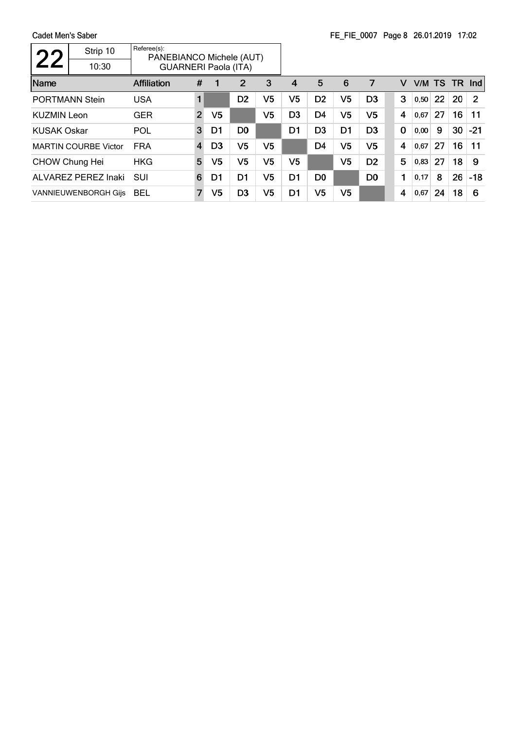|                       | Strip 10                    | Referee(s):<br>PANEBIANCO Michele (AUT) |                |                |                |                |                |                |                |                |   |        |    |           |                |
|-----------------------|-----------------------------|-----------------------------------------|----------------|----------------|----------------|----------------|----------------|----------------|----------------|----------------|---|--------|----|-----------|----------------|
|                       | 10:30                       | <b>GUARNERI Paola (ITA)</b>             |                |                |                |                |                |                |                |                |   |        |    |           |                |
| Name                  |                             | <b>Affiliation</b>                      | #              |                | 2              | 3              | 4              | 5              | 6              | 7              | v | V/M TS |    | <b>TR</b> | <b>Ind</b>     |
|                       | <b>PORTMANN Stein</b>       | <b>USA</b>                              |                |                | D <sub>2</sub> | V5             | V <sub>5</sub> | D <sub>2</sub> | V <sub>5</sub> | D <sub>3</sub> | 3 | 0,50   | 22 | 20        | $\overline{2}$ |
| <b>KUZMIN Leon</b>    |                             | <b>GER</b>                              | $\overline{2}$ | V <sub>5</sub> |                | V <sub>5</sub> | D <sub>3</sub> | D <sub>4</sub> | V <sub>5</sub> | V5             | 4 | 0,67   | 27 | 16        | 11             |
| <b>KUSAK Oskar</b>    |                             | POL                                     | 3              | D1             | D <sub>0</sub> |                | D1             | D <sub>3</sub> | D <sub>1</sub> | D <sub>3</sub> | 0 | 0,00   | 9  | 30        | $-21$          |
|                       | <b>MARTIN COURBE Victor</b> | <b>FRA</b>                              | 4              | D <sub>3</sub> | V <sub>5</sub> | V5             |                | D <sub>4</sub> | V5             | V <sub>5</sub> | 4 | 0,67   | 27 | 16        | 11             |
| <b>CHOW Chung Hei</b> |                             | <b>HKG</b>                              | 5              | V <sub>5</sub> | V <sub>5</sub> | V <sub>5</sub> | V5             |                | V <sub>5</sub> | D <sub>2</sub> | 5 | 0,83   | 27 | 18        | 9              |
|                       | ALVAREZ PEREZ Inaki         | SUI                                     | 6              | D1             | D1             | V5             | D1             | D <sub>0</sub> |                | D <sub>0</sub> | 1 | 0,17   | 8  | 26        | $-18$          |
|                       | <b>VANNIEUWENBORGH Gijs</b> | <b>BEL</b>                              | 7              | V5             | D <sub>3</sub> | V5             | D1             | V5             | V5             |                | 4 | 0,67   | 24 | 18        | 6              |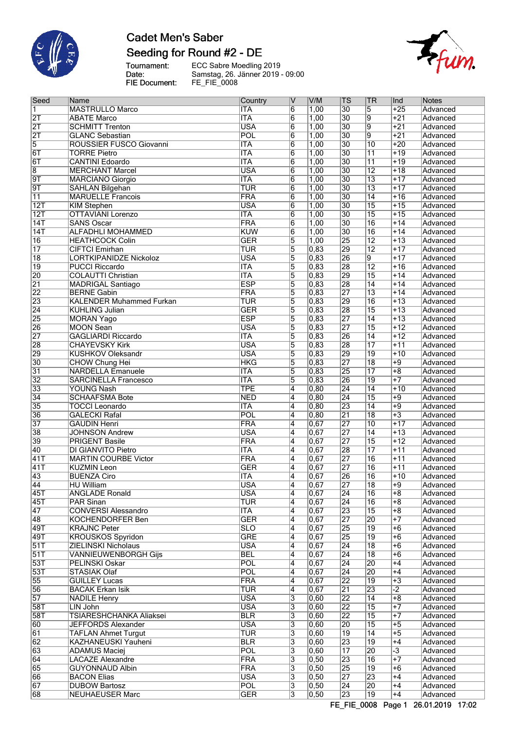

## **Cadet Men's Saber** Seeding for Round #2 - DE

Tournament:<br>Date:<br>FIE Document:

ECC Sabre Moedling 2019 Samstag, 26. Jänner 2019 - 09:00 FE\_FIE\_0008



| Seed                    | Name                            | Country    | ٧                       | V/M  | $ \mathsf{TS} $ | <b>TR</b>       | Ind              | Notes    |
|-------------------------|---------------------------------|------------|-------------------------|------|-----------------|-----------------|------------------|----------|
|                         |                                 |            |                         |      |                 |                 |                  |          |
| 1                       | <b>MASTRULLO Marco</b>          | <b>ITA</b> | 6                       | 1,00 | $\overline{30}$ | 5               | $+25$            | Advanced |
| $\overline{2T}$         | <b>ABATE Marco</b>              | <b>ITA</b> | $\overline{6}$          | 1,00 | $\overline{30}$ | $\overline{9}$  | $+21$            | Advanced |
| $\overline{2T}$         | <b>SCHMITT Trenton</b>          | <b>USA</b> | 6                       | 1,00 | 30              | 9               | $+21$            | Advanced |
| $\overline{2T}$         | <b>GLANC Sebastian</b>          | POL        | 6                       | 1,00 | $\overline{30}$ | $\overline{9}$  | $+21$            | Advanced |
| $\overline{5}$          | ROUSSIER FUSCO Giovanni         | <b>ITA</b> | $\overline{6}$          | 1,00 | $\overline{30}$ | $\overline{10}$ | $+20$            | Advanced |
| 6T                      | <b>TORRE Pietro</b>             | <b>ITA</b> | $\overline{6}$          | 1,00 | 30              | $\overline{11}$ | $+19$            | Advanced |
|                         |                                 |            |                         |      |                 |                 |                  |          |
| $\overline{6T}$         | <b>CANTINI Edoardo</b>          | <b>ITA</b> | $\overline{6}$          | 1,00 | $\overline{30}$ | $\overline{11}$ | $+19$            | Advanced |
| $\overline{\mathbf{8}}$ | <b>MERCHANT Marcel</b>          | <b>USA</b> | $\overline{6}$          | 1,00 | $\overline{30}$ | $\overline{12}$ | $+18$            | Advanced |
| 9T                      | <b>MARCIANO Giorgio</b>         | <b>ITA</b> | 6                       | 1,00 | $\overline{30}$ | $\overline{13}$ | $+17$            | Advanced |
| $\overline{9T}$         | <b>SAHLAN Bilgehan</b>          | <b>TUR</b> | $\overline{6}$          | 1,00 | $\overline{30}$ | $\overline{13}$ | $+17$            | Advanced |
| $\overline{11}$         | <b>MARUELLE Francois</b>        | FRA        | 6                       | 1,00 | $\overline{30}$ | $\overline{14}$ | $+16$            | Advanced |
| 12T                     | <b>KIM Stephen</b>              | <b>USA</b> | $\overline{6}$          | 1,00 | $\overline{30}$ | $\overline{15}$ | $+15$            | Advanced |
| 12T                     | <b>OTTAVIANI Lorenzo</b>        | <b>ITA</b> | $\overline{6}$          | 1,00 | $\overline{30}$ | $\overline{15}$ | $+15$            |          |
|                         |                                 |            |                         |      |                 |                 |                  | Advanced |
| 14T                     | <b>SANS Oscar</b>               | FRA        | $\overline{6}$          | 1,00 | $\overline{30}$ | $\overline{16}$ | $+14$            | Advanced |
| 14T                     | <b>ALFADHLI MOHAMMED</b>        | <b>KUW</b> | $\overline{6}$          | 1,00 | $\overline{30}$ | 16              | $+14$            | Advanced |
| $\overline{16}$         | <b>HEATHCOCK Colin</b>          | <b>GER</b> | $\overline{5}$          | 1,00 | 25              | $\overline{12}$ | $+13$            | Advanced |
| $\overline{17}$         | <b>CIFTCI Emirhan</b>           | <b>TUR</b> | 5                       | 0,83 | 29              | $\overline{12}$ | $+17$            | Advanced |
| $\overline{18}$         | <b>LORTKIPANIDZE Nickoloz</b>   | <b>USA</b> | 5                       | 0,83 | 26              | 9               | $+17$            | Advanced |
| $\overline{19}$         | <b>PUCCI Riccardo</b>           | <b>ITA</b> | 5                       | 0,83 | 28              | $\overline{12}$ | $+16$            | Advanced |
|                         |                                 |            |                         |      |                 |                 |                  |          |
| 20                      | <b>COLAUTTI Christian</b>       | <b>ITA</b> | $\overline{5}$          | 0,83 | 29              | $\overline{15}$ | $+14$            | Advanced |
| $\overline{21}$         | <b>MADRIGAL Santiago</b>        | <b>ESP</b> | 5                       | 0,83 | 28              | $\overline{14}$ | $+14$            | Advanced |
| 22                      | <b>BERNE Gabin</b>              | FRA        | 5                       | 0,83 | 27              | $\overline{13}$ | $+14$            | Advanced |
| 23                      | <b>KALENDER Muhammed Furkan</b> | <b>TUR</b> | $\overline{5}$          | 0,83 | 29              | $\overline{16}$ | $+13$            | Advanced |
| $\overline{24}$         | <b>KUHLING Julian</b>           | <b>GER</b> | $\overline{5}$          | 0,83 | 28              | $\overline{15}$ | $+13$            | Advanced |
| 25                      | MORAN Yago                      | <b>ESP</b> | 5                       | 0,83 | $\overline{27}$ | $\overline{14}$ | $+13$            | Advanced |
|                         |                                 |            |                         |      |                 |                 |                  |          |
| 26                      | <b>MOON Sean</b>                | <b>USA</b> | 5                       | 0,83 | 27              | $\overline{15}$ | $+12$            | Advanced |
| $\overline{27}$         | <b>GAGLIARDI Riccardo</b>       | <b>ITA</b> | $\overline{5}$          | 0,83 | 26              | $\overline{14}$ | $\overline{+12}$ | Advanced |
| 28                      | <b>CHAYEVSKY Kirk</b>           | <b>USA</b> | 5                       | 0,83 | 28              | $\overline{17}$ | $+11$            | Advanced |
| 29                      | <b>KUSHKOV Oleksandr</b>        | <b>USA</b> | 5                       | 0,83 | 29              | $\overline{19}$ | $+10$            | Advanced |
| $\overline{30}$         | <b>CHOW Chung Hei</b>           | <b>HKG</b> | $\overline{5}$          | 0,83 | 27              | $\overline{18}$ | $+9$             | Advanced |
| $\overline{31}$         | <b>NARDELLA</b> Emanuele        | <b>ITA</b> | 5                       | 0,83 | 25              | $\overline{17}$ | $+8$             | Advanced |
|                         |                                 |            |                         |      |                 |                 |                  |          |
| $\overline{32}$         | <b>SARCINELLA Francesco</b>     | <b>ITA</b> | 5                       | 0,83 | 26              | $\overline{19}$ | $+7$             | Advanced |
| $\overline{33}$         | <b>YOUNG Nash</b>               | <b>TPE</b> | 4                       | 0,80 | $\overline{24}$ | $\overline{14}$ | $+10$            | Advanced |
| $\overline{34}$         | <b>SCHAAFSMA Bote</b>           | <b>NED</b> | 4                       | 0,80 | $\overline{24}$ | $\overline{15}$ | $+9$             | Advanced |
| 35                      | <b>TOCCI Leonardo</b>           | <b>ITA</b> | 4                       | 0,80 | 23              | $\overline{14}$ | $\overline{+9}$  | Advanced |
| 36                      | <b>GALECKI Rafal</b>            | POL        | 4                       | 0,80 | $\overline{21}$ | $\overline{18}$ | $\overline{+3}$  | Advanced |
| $\overline{37}$         | <b>GAUDIN Henri</b>             | FRA        | 4                       | 0,67 | 27              | 10              | $+17$            | Advanced |
|                         |                                 |            |                         |      | 27              |                 |                  |          |
| $\overline{38}$         | <b>JOHNSON Andrew</b>           | <b>USA</b> | 4                       | 0,67 |                 | $\overline{14}$ | $+13$            | Advanced |
| 39                      | <b>PRIGENT Basile</b>           | <b>FRA</b> | 4                       | 0,67 | 27              | $\overline{15}$ | $+12$            | Advanced |
| 40                      | <b>DI GIANVITO Pietro</b>       | <b>ITA</b> | 4                       | 0,67 | 28              | $\overline{17}$ | $+11$            | Advanced |
| $\overline{41}$         | <b>MARTIN COURBE Victor</b>     | FRA        | 4                       | 0,67 | 27              | $\overline{16}$ | $+11$            | Advanced |
| $\overline{41T}$        | <b>KUZMIN Leon</b>              | <b>GER</b> | 4                       | 0,67 | 27              | $\overline{16}$ | $+11$            | Advanced |
| 43                      | <b>BUENZA Ciro</b>              | <b>ITA</b> | 4                       | 0,67 | 26              | 16              | $+10$            | Advanced |
| 44                      | HU William                      | USA        | 4                       | 0,67 | 27              | 18              | $+9$             | Advanced |
|                         |                                 |            |                         |      |                 |                 |                  |          |
| $\overline{45T}$        | <b>ANGLADE Ronald</b>           | <b>USA</b> | $\overline{4}$          | 0,67 | $\overline{24}$ | $\overline{16}$ | $+8$             | Advanced |
| 45T                     | PAR Sinan                       | <b>TUR</b> | 4                       | 0,67 | $\overline{24}$ | $\overline{16}$ | $+8$             | Advanced |
| 47                      | <b>CONVERSI Alessandro</b>      | <b>ITA</b> | 4                       | 0,67 | 23              | $\overline{15}$ | $+8$             | Advanced |
| 48                      | <b>KOCHENDORFER Ben</b>         | <b>GER</b> | 4                       | 0,67 | $\overline{27}$ | $\overline{20}$ | $+7$             | Advanced |
| 49T                     | <b>KRAJNC Peter</b>             | <b>SLO</b> | 4                       | 0,67 | 25              | $\overline{19}$ | $+6$             | Advanced |
| 49T                     | <b>KROUSKOS Spyridon</b>        | <b>GRE</b> | 4                       | 0,67 | 25              | $\overline{19}$ | $+6$             | Advanced |
| 51T                     | ZIELINSKI Nicholaus             | <b>USA</b> | 4                       | 0,67 | $\overline{24}$ | $\overline{18}$ | $\overline{+6}$  | Advanced |
|                         |                                 |            |                         |      |                 |                 |                  |          |
| 51T                     | VANNIEUWENBORGH Gijs            | <b>BEL</b> | 4                       | 0,67 | $\overline{24}$ | $\overline{18}$ | $+6$             | Advanced |
| 53T                     | PELINSKI Oskar                  | POL        | 4                       | 0,67 | $\overline{24}$ | 20              | $+4$             | Advanced |
| 53T                     | <b>STASIAK Olaf</b>             | <b>POL</b> | 4                       | 0,67 | $\overline{24}$ | $\overline{20}$ | $+4$             | Advanced |
| 55                      | <b>GUILLEY Lucas</b>            | <b>FRA</b> | 4                       | 0,67 | 22              | $\overline{19}$ | $\overline{+3}$  | Advanced |
| 56                      | <b>BACAK Erkan Isik</b>         | <b>TUR</b> | 4                       | 0,67 | $\overline{21}$ | 23              | $-2$             | Advanced |
| $\overline{57}$         | <b>NADILE Henry</b>             | <b>USA</b> | 3                       | 0,60 | 22              | $\overline{14}$ | $+\sqrt{8}$      | Advanced |
|                         |                                 |            |                         |      |                 |                 |                  |          |
| 58T                     | LIN John                        | <b>USA</b> | $\overline{\mathbf{3}}$ | 0,60 | 22              | $\overline{15}$ | $+7$             | Advanced |
| 58T                     | TSIARESHCHANKA Aliaksei         | <b>BLR</b> | 3                       | 0,60 | 22              | $\overline{15}$ | $+7$             | Advanced |
| 60                      | <b>JEFFORDS Alexander</b>       | <b>USA</b> | $\overline{\mathbf{3}}$ | 0,60 | $\overline{20}$ | $\overline{15}$ | $+5$             | Advanced |
| $\overline{61}$         | <b>TAFLAN Ahmet Turgut</b>      | <b>TUR</b> | 3                       | 0,60 | $\overline{19}$ | $\overline{14}$ | $\overline{+5}$  | Advanced |
| 62                      | <b>KAZHANEUSKI Yauheni</b>      | <b>BLR</b> | 3                       | 0,60 | 23              | $\overline{19}$ | $+4$             | Advanced |
| 63                      | ADAMUS Maciej                   | <b>POL</b> | 3                       | 0,60 | 17              | $\overline{20}$ | $\overline{-3}$  | Advanced |
|                         |                                 |            |                         |      |                 |                 |                  |          |
| 64                      | <b>LACAZE Alexandre</b>         | <b>FRA</b> | 3                       | 0,50 | 23              | $\overline{16}$ | $+7$             | Advanced |
| 65                      | <b>GUYONNAUD Albin</b>          | <b>FRA</b> | $\overline{\mathbf{3}}$ | 0,50 | 25              | $\overline{19}$ | $+6$             | Advanced |
| 66                      | <b>BACON Elias</b>              | <b>USA</b> | $\overline{\mathbf{3}}$ | 0,50 | $\overline{27}$ | 23              | +4               | Advanced |
| 67                      | <b>DUBOW Bartosz</b>            | <b>POL</b> | $\overline{3}$          | 0,50 | $\overline{24}$ | 20              | $+4$             | Advanced |
| 68                      | <b>NEUHAEUSER Marc</b>          | <b>GER</b> | 3                       | 0,50 | 23              | $\overline{19}$ | $+4$             | Advanced |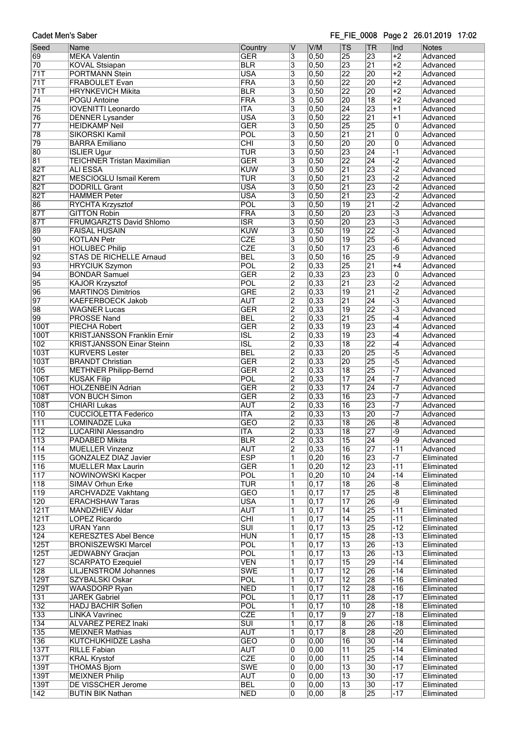Cadet Men's Saber

#### FE FIE 0008 Page 2 26.01.2019 17:02

| Seed             | Name                               | Country                 | V                         | V/M               | <b>TS</b>       | TR              | Ind                  | <b>Notes</b> |
|------------------|------------------------------------|-------------------------|---------------------------|-------------------|-----------------|-----------------|----------------------|--------------|
| 69               | <b>MEKA Valentin</b>               | <b>GER</b>              | $\overline{\mathbf{3}}$   | 0,50              | 25              | 23              | $+2$                 | Advanced     |
|                  |                                    |                         |                           |                   |                 |                 |                      |              |
| 70               | <b>KOVAL Stsiapan</b>              | <b>BLR</b>              | $\overline{3}$            | 0,50              | 23              | $\overline{21}$ | $\overline{+2}$      | Advanced     |
| 71T              | <b>PORTMANN Stein</b>              | <b>USA</b>              | $\overline{\mathbf{3}}$   | 0,50              | $\overline{22}$ | 20              | $+2$                 | Advanced     |
| 71T              | <b>FRABOULET Evan</b>              | <b>FRA</b>              | $\overline{\mathbf{3}}$   | 0,50              | $\overline{22}$ | 20              | $+2$                 | Advanced     |
|                  |                                    |                         |                           |                   |                 |                 |                      |              |
| 71T              | <b>HRYNKEVICH Mikita</b>           | <b>BLR</b>              | $\overline{\mathbf{3}}$   | 0,50              | $\overline{22}$ | 20              | $\overline{+2}$      | Advanced     |
| $\overline{74}$  | <b>POGU Antoine</b>                | <b>FRA</b>              | $\overline{\overline{3}}$ | 0,50              | 20              | $\overline{18}$ | $+2$                 | Advanced     |
|                  |                                    |                         |                           |                   |                 |                 |                      |              |
| 75               | <b>IOVENITTI Leonardo</b>          | <b>ITA</b>              | 3                         | 0,50              | $\overline{24}$ | 23              | $\overline{+1}$      | Advanced     |
| 76               | <b>DENNER Lysander</b>             | <b>USA</b>              | 3                         | 0,50              | $\overline{22}$ | $\overline{21}$ | $+1$                 | Advanced     |
| $\overline{77}$  | <b>HEIDKAMP Neil</b>               | <b>GER</b>              | $\overline{\overline{3}}$ | 0,50              | $\overline{25}$ | 25              | $\overline{0}$       | Advanced     |
|                  |                                    |                         |                           |                   |                 |                 |                      |              |
| 78               | SIKORSKI Kamil                     | POL                     | 3                         | 0,50              | $\overline{21}$ | $\overline{21}$ | $\overline{0}$       | Advanced     |
| 79               | <b>BARRA Emiliano</b>              | CHI                     | $\overline{3}$            | 0,50              | 20              | 20              | $\overline{0}$       | Advanced     |
| 80               |                                    |                         |                           |                   | 23              | $\overline{24}$ | $\overline{1}$       |              |
|                  | <b>ISLIER Ugur</b>                 | <b>TUR</b>              | $\overline{3}$            | 0,50              |                 |                 |                      | Advanced     |
| 81               | <b>TEICHNER Tristan Maximilian</b> | <b>GER</b>              | 3                         | 0,50              | $\overline{22}$ | $\overline{24}$ | $\overline{2}$       | Advanced     |
| 82T              | <b>ALI ESSA</b>                    | <b>KUW</b>              | $\overline{\mathbf{3}}$   | 0,50              | $\overline{21}$ | 23              | $\overline{-2}$      | Advanced     |
|                  |                                    |                         |                           |                   |                 |                 |                      |              |
| 82T              | <b>MESCIOGLU Ismail Kerem</b>      | <b>TUR</b>              | $\overline{\overline{3}}$ | 0,50              | $\overline{21}$ | 23              | $\overline{-2}$      | Advanced     |
| 82T              | <b>DODRILL Grant</b>               | <b>USA</b>              | 3                         | 0,50              | $\overline{21}$ | 23              | $\overline{2}$       | Advanced     |
| 82T              |                                    |                         |                           | 0,50              | $\overline{21}$ | 23              | $\overline{2}$       |              |
|                  | <b>HAMMER Peter</b>                | <b>USA</b>              | 3                         |                   |                 |                 |                      | Advanced     |
| 86               | RYCHTA Krzysztof                   | POL                     | 3                         | 0,50              | $\overline{19}$ | $\overline{21}$ | $\overline{2}$       | Advanced     |
| 87T              | <b>GITTON Robin</b>                | FRA                     | 3                         | 0,50              | 20              | 23              | $\overline{\cdot}$ 3 | Advanced     |
|                  |                                    |                         |                           |                   |                 |                 |                      |              |
| 87T              | <b>FRUMGARZTS David Shlomo</b>     | $\overline{\text{ISR}}$ | $\overline{3}$            | $\overline{0,50}$ | $\overline{20}$ | 23              | $\overline{\cdot 3}$ | Advanced     |
| 89               | <b>FAISAL HUSAIN</b>               | <b>KUW</b>              | 3                         | 0,50              | $\overline{19}$ | $\overline{22}$ | $\overline{\cdot 3}$ | Advanced     |
| 90               | <b>KOTLAN Petr</b>                 | <b>CZE</b>              | 3                         | 0,50              | $\overline{19}$ | 25              | $-\overline{6}$      | Advanced     |
|                  |                                    |                         |                           |                   |                 |                 |                      |              |
| 91               | <b>HOLUBEC Philip</b>              | <b>CZE</b>              | $\overline{\mathbf{3}}$   | $\overline{0,50}$ | $\overline{17}$ | 23              | $-\overline{6}$      | Advanced     |
| 92               | <b>STAS DE RICHELLE Arnaud</b>     | <b>BEL</b>              | 3                         | 0,50              | $\overline{16}$ | 25              | -9                   | Advanced     |
|                  |                                    |                         |                           |                   |                 |                 |                      |              |
| 93               | <b>HRYCIUK Szymon</b>              | POL                     | $\overline{2}$            | 0,33              | $\overline{25}$ | $\overline{21}$ | $+4$                 | Advanced     |
| 94               | <b>BONDAR Samuel</b>               | <b>GER</b>              | $\overline{2}$            | 0,33              | $\overline{23}$ | 23              | 0                    | Advanced     |
|                  |                                    |                         |                           |                   |                 |                 |                      |              |
| 95               | <b>KAJOR Krzysztof</b>             | POL                     | $\overline{2}$            | 0,33              | $\overline{21}$ | 23              | $\overline{2}$       | Advanced     |
| 96               | <b>MARTINOS Dimitrios</b>          | <b>GRE</b>              | $\overline{2}$            | 0,33              | $\overline{19}$ | $\overline{21}$ | $\overline{2}$       | Advanced     |
| $\overline{97}$  | <b>KAEFERBOECK Jakob</b>           | <b>AUT</b>              | $\overline{2}$            | 0,33              | $\overline{21}$ | $\overline{24}$ | $\overline{-3}$      | Advanced     |
|                  |                                    |                         |                           |                   |                 |                 |                      |              |
| 98               | <b>WAGNER Lucas</b>                | <b>GER</b>              | $\overline{2}$            | 0,33              | $\overline{19}$ | $\overline{22}$ | $\overline{\cdot 3}$ | Advanced     |
| 99               | <b>PROSSE Nand</b>                 | <b>BEL</b>              | $\overline{2}$            | 0,33              | $\overline{21}$ | 25              | $\overline{-4}$      | Advanced     |
|                  |                                    | <b>GER</b>              |                           | 0,33              | $\overline{19}$ | 23              | $\overline{-4}$      |              |
| <b>100T</b>      | <b>PIECHA Robert</b>               |                         | $\overline{2}$            |                   |                 |                 |                      | Advanced     |
| 100T             | <b>KRISTJANSSON Franklin Ernir</b> | <b>ISL</b>              | $\overline{2}$            | 0,33              | $\overline{19}$ | 23              | $-4$                 | Advanced     |
| 102              | <b>KRISTJANSSON Einar Steinn</b>   | $\overline{\text{ISL}}$ | $\overline{2}$            | 0,33              | $\overline{18}$ | $\overline{22}$ | $\overline{-4}$      | Advanced     |
|                  |                                    |                         |                           |                   |                 |                 |                      |              |
| 103T             | <b>KURVERS Lester</b>              | <b>BEL</b>              | $\overline{2}$            | 0,33              | 20              | 25              | $\overline{-5}$      | Advanced     |
| <b>103T</b>      | <b>BRANDT Christian</b>            | <b>GER</b>              | $\overline{2}$            | 0,33              | $\overline{20}$ | 25              | $\overline{-5}$      | Advanced     |
|                  |                                    |                         | $\overline{2}$            | 0,33              | $\overline{18}$ | 25              |                      |              |
| 105              | <b>METHNER Philipp-Bernd</b>       | <b>GER</b>              |                           |                   |                 |                 |                      | Advanced     |
| 106T             | <b>KUSAK Filip</b>                 | POL                     | $\overline{2}$            | $\overline{0,33}$ | $\overline{17}$ | $\overline{24}$ |                      | Advanced     |
| 106T             | <b>HOLZENBEIN Adrian</b>           | <b>GER</b>              | $\overline{2}$            | 0,33              | $\overline{17}$ | $\overline{24}$ | -7                   | Advanced     |
|                  |                                    |                         |                           |                   |                 |                 |                      |              |
| <b>108T</b>      | <b>VON BUCH Simon</b>              | <b>GER</b>              | $\overline{2}$            | 0,33              | $\overline{16}$ | 23              | $\overline{\cdot}$   | Advanced     |
| <b>108T</b>      | <b>CHIARI Lukas</b>                | <b>AUT</b>              | $\overline{2}$            | 0,33              | $\overline{16}$ | 23              |                      | Advanced     |
|                  |                                    |                         |                           |                   |                 |                 |                      |              |
| $\overline{110}$ | <b>CUCCIOLETTA Federico</b>        | <b>ITA</b>              | $\overline{2}$            | 0,33              | $\overline{13}$ | 20              | -7                   | Advanced     |
| $\overline{111}$ | <b>LOMINADZE Luka</b>              | <b>GEO</b>              | $\overline{2}$            | $\overline{0,33}$ | $\overline{18}$ | 26              | -8                   | Advanced     |
| $\overline{112}$ | <b>LUCARINI Alessandro</b>         | <b>ITA</b>              | 2                         | $\overline{0,33}$ | 18              | 27              | -9                   | Advanced     |
|                  |                                    |                         |                           |                   |                 |                 |                      |              |
| 113              | PADABED Mikita                     | <b>BLR</b>              | $\overline{2}$            | 0,33              | $\overline{15}$ | 24              | -9                   | Advanced     |
| 114              | <b>MUELLER Vinzenz</b>             | <b>AUT</b>              | $\overline{2}$            | 0,33              | $\overline{16}$ | 27              | $-11$                | Advanced     |
| $\overline{115}$ | <b>GONZALEZ DIAZ Javier</b>        | <b>ESP</b>              | 1                         | 0,20              | $\overline{16}$ | 23              |                      | Eliminated   |
|                  |                                    |                         |                           |                   |                 |                 |                      |              |
| 116              | <b>MUELLER Max Laurin</b>          | <b>GER</b>              | 1                         | 0,20              | $\overline{12}$ | 23              | $-11$                | Eliminated   |
| 117              | <b>NOWINOWSKI Kacper</b>           | POL                     | 1                         | $\overline{0,20}$ | $\overline{10}$ | $\overline{24}$ | $-14$                | Eliminated   |
|                  |                                    |                         |                           |                   |                 |                 |                      |              |
| 118              | <b>SIMAV Orhun Erke</b>            | <b>TUR</b>              | 1                         | 0,17              | $\overline{18}$ | 26              | -8                   | Eliminated   |
| $\overline{119}$ | <b>ARCHVADZE Vakhtang</b>          | <b>GEO</b>              | 1                         | 0,17              | 17              | 25              | $\overline{-8}$      | Eliminated   |
| 120              | <b>ERACHSHAW Taras</b>             | <b>USA</b>              | 1                         | $\overline{0,17}$ | $\overline{17}$ | 26              | -9                   | Eliminated   |
|                  |                                    |                         |                           |                   |                 |                 |                      |              |
| 121T             | <b>MANDZHIEV Aldar</b>             | <b>AUT</b>              | 1                         | $\overline{0,17}$ | 14              | 25              | $-11$                | Eliminated   |
| 121T             | LOPEZ Ricardo                      | CHI                     | 1                         | $\overline{0,17}$ | 14              | 25              | $-11$                | Eliminated   |
| 123              | <b>URAN Yann</b>                   | $\overline{\text{SUI}}$ | 1                         | $\overline{0,17}$ | $\overline{13}$ | 25              | $-12$                |              |
|                  |                                    |                         |                           |                   |                 |                 |                      | Eliminated   |
| 124              | <b>KERESZTES Abel Bence</b>        | <b>HUN</b>              | 1                         | $\overline{0,17}$ | $\overline{15}$ | 28              | $-13$                | Eliminated   |
| 125T             | <b>BRONISZEWSKI Marcel</b>         | POL                     | 1                         | $\overline{0,17}$ | $\overline{13}$ | 26              | $-13$                | Eliminated   |
| 125T             | <b>JEDWABNY Gracjan</b>            | <b>POL</b>              | 1                         | 0,17              | $\overline{13}$ | 26              | $-13$                | Eliminated   |
|                  |                                    |                         |                           |                   |                 |                 |                      |              |
| 127              | <b>SCARPATO Ezequiel</b>           | <b>VEN</b>              | 1                         | $\overline{0,17}$ | $\overline{15}$ | 29              | $-14$                | Eliminated   |
| $\overline{128}$ | LILJENSTROM Johannes               | <b>SWE</b>              | 1                         | $\overline{0,17}$ | $\overline{12}$ | 26              | $-14$                | Eliminated   |
|                  |                                    |                         |                           |                   |                 |                 |                      |              |
| 129T             | SZYBALSKI Oskar                    | POL                     | 1                         | 0,17              | $\overline{12}$ | 28              | $-16$                | Eliminated   |
| 129T             | <b>WAASDORP Ryan</b>               | <b>NED</b>              | 1                         | 0,17              | $\overline{12}$ | 28              | $-16$                | Eliminated   |
| 131              | <b>JAREK Gabriel</b>               | POL                     | 1                         | 0,17              | $\overline{11}$ | 28              | $-17$                | Eliminated   |
|                  |                                    |                         |                           |                   |                 |                 |                      |              |
| 132              | HADJ BACHIR Sofien                 | POL                     | 1                         | $\overline{0,17}$ | 10              | 28              | $-18$                | Eliminated   |
| 133              | <b>LINKA Vavrinec</b>              | <b>CZE</b>              | 1                         | 0,17              | $\overline{9}$  | 27              | $-18$                | Eliminated   |
| 134              |                                    | $\overline{\text{SUI}}$ | 1                         | 0,17              |                 |                 | $-18$                |              |
|                  | <b>ALVAREZ PEREZ Inaki</b>         |                         |                           |                   | $\overline{8}$  | 26              |                      | Eliminated   |
| 135              | <b>MEIXNER Mathias</b>             | <b>AUT</b>              | 1                         | 0, 17             | $\overline{8}$  | 28              | $-20$                | Eliminated   |
| 136              | <b>KUTCHUKHIDZE Lasha</b>          | <b>GEO</b>              | 0                         | 0,00              | $\overline{16}$ | $\overline{30}$ | $-14$                | Eliminated   |
|                  |                                    |                         |                           |                   |                 |                 |                      |              |
| <b>137T</b>      | <b>RILLE Fabian</b>                | <b>AUT</b>              | 0                         | 0,00              | $\overline{11}$ | 25              | $-14$                | Eliminated   |
| 137T             | <b>KRAL Krystof</b>                | <b>CZE</b>              | 0                         | $\overline{0,00}$ | $\overline{11}$ | 25              | $-14$                | Eliminated   |
| 139T             | <b>THOMAS Bjorn</b>                | <b>SWE</b>              | 0                         | $\overline{0,00}$ | $\overline{13}$ | $\overline{30}$ | $-17$                | Eliminated   |
|                  |                                    |                         |                           |                   |                 |                 |                      |              |
| 139T             | <b>MEIXNER Philip</b>              | <b>AUT</b>              | 0                         | 0,00              | $\overline{13}$ | 30              | $-17$                | Eliminated   |
| 139T             | DE VISSCHER Jerome                 | <b>BEL</b>              | 0                         | $\overline{0,00}$ | $\overline{13}$ | $\overline{30}$ | $-17$                | Eliminated   |
| $\overline{142}$ | <b>BUTIN BIK Nathan</b>            | <b>NED</b>              | 0                         | 0,00              | $\overline{8}$  | 25              | $-17$                | Eliminated   |
|                  |                                    |                         |                           |                   |                 |                 |                      |              |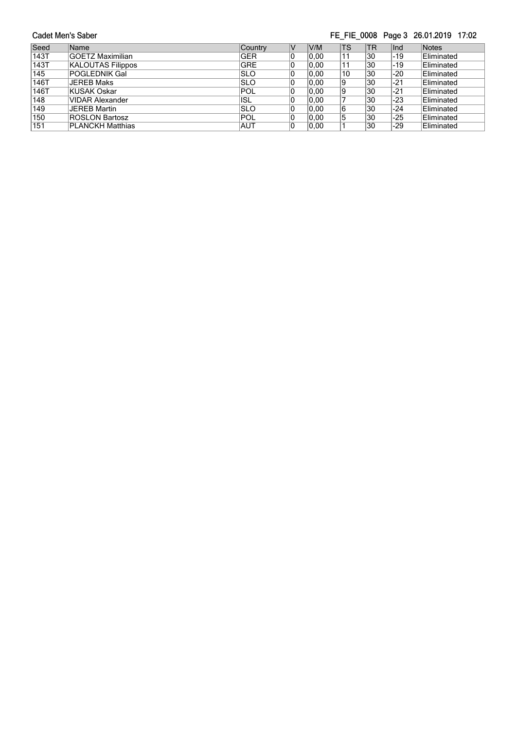**Cadet Men's Saber** FE\_FIE\_0008 Page 3 26.01.2019 17:02 V V/M TS TR Ind Notes<br>
0 0,00 11 30 -19 Elimin Seed Name Country<br>143T GOETZ Maximilian GER GER 0,00 11 30 -19 Eliminated<br>0,00 11 30 -19 Eliminated 143T GOETZ Maximilian GER 0 0,00 11 30 -19 Eliminated<br>
0 0,00 10 30 -20 Eliminated<br>
0 0,00 9 30 -21 Eliminated<br>
0 0,00 9 30 -21 Eliminated 143T KALOUTAS Filippos GRE 145 POGLEDNIK Gal<br>146T JEREB Maks SLO 30 -20 Eliminated<br>30 -21 Eliminated 146T JEREB Maks SLO<br>146T KUSAK Oskar POL 9 30 -21 Eliminated<br>9 30 -21 Eliminated  $\begin{array}{|c|c|} \hline 0 & 0,00 \\ \hline 0 & 0,00 \end{array}$ **146T** KUSAK Oskar POL<br>148 | VIDAR Alexander | ISL | ISL 9 30 -21 Eliminated<br>7 30 -23 Eliminated  $\begin{array}{|c|c|} \hline 0 & 0,00 \\ \hline 0 & 0,00 \end{array}$ 148 VIDAR Alexander 148 VIDAR Alexander 149 SLO  $\begin{array}{|l|l|} \hline 0 & 0,00 \\ \hline 0 & 0,00 \end{array}$ 7 30 -23 Eliminated<br>6 30 -24 Eliminated 149 JEREB Martin SLO<br>150 ROSLON Bartosz POL<br>151 PLANCKH Matthias AUT  $\begin{array}{|c|c|c|}\n\hline\n0 & 0,00 \\
\hline\n0 & 0,00\n\end{array}$ 6 30 -24 Eliminated<br>5 30 -25 Eliminated<br>1 30 -29 Eliminated  $\begin{array}{|c|c|} \hline 0 & 0,00 \\ \hline 0 & 0,00 \end{array}$ 5 30 -25 Eliminated<br>1 30 -29 Eliminated 150 | ROSLON Bartosz **POL**  $|0,00|$ Eliminated 151 PLANCKH Matthias AUT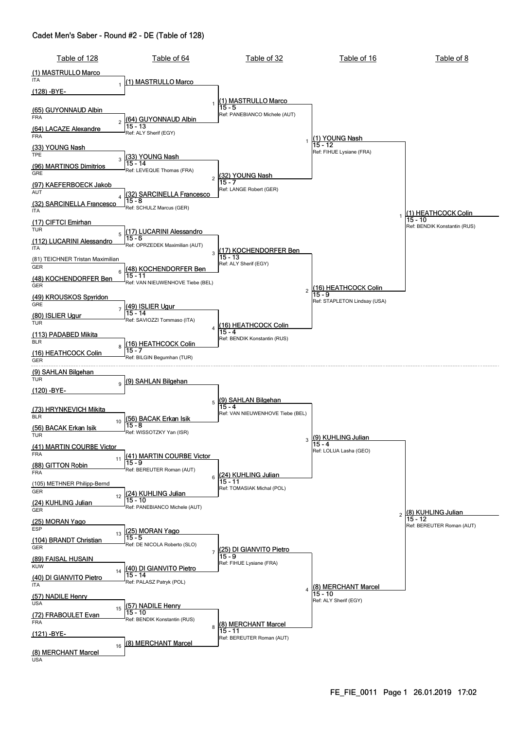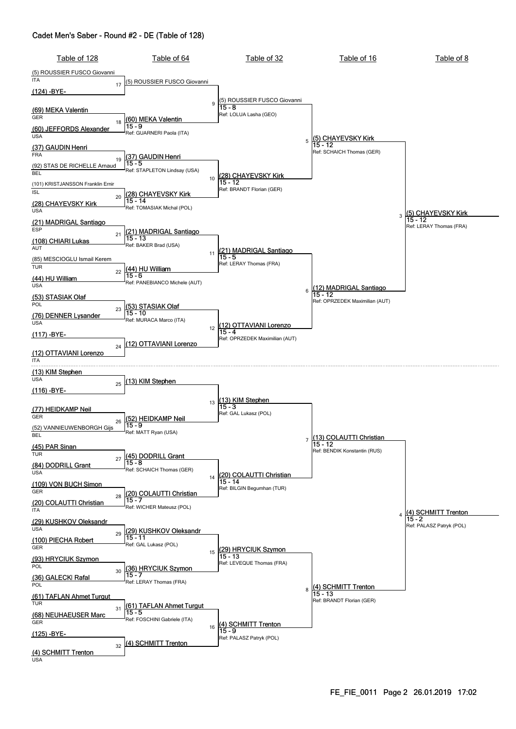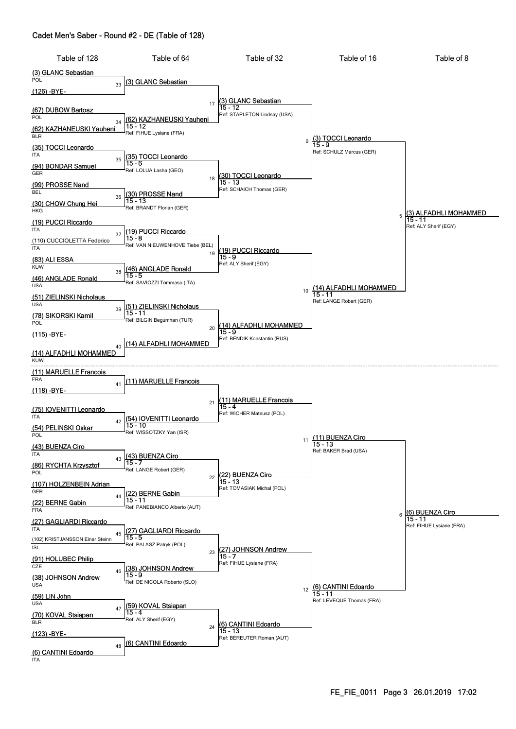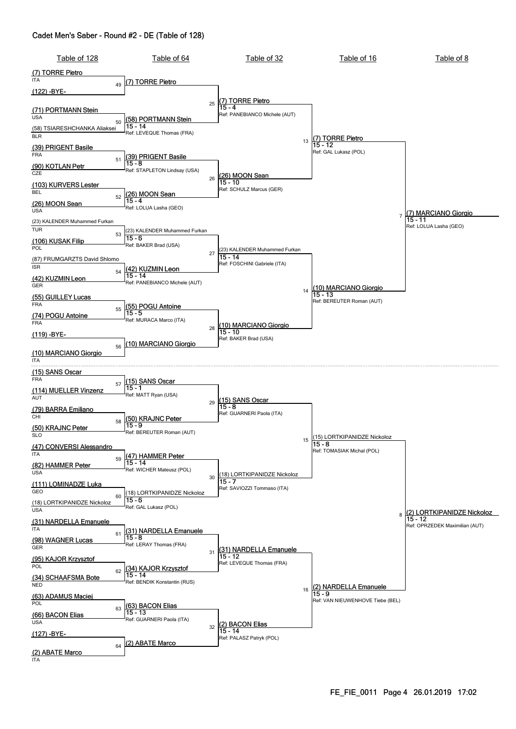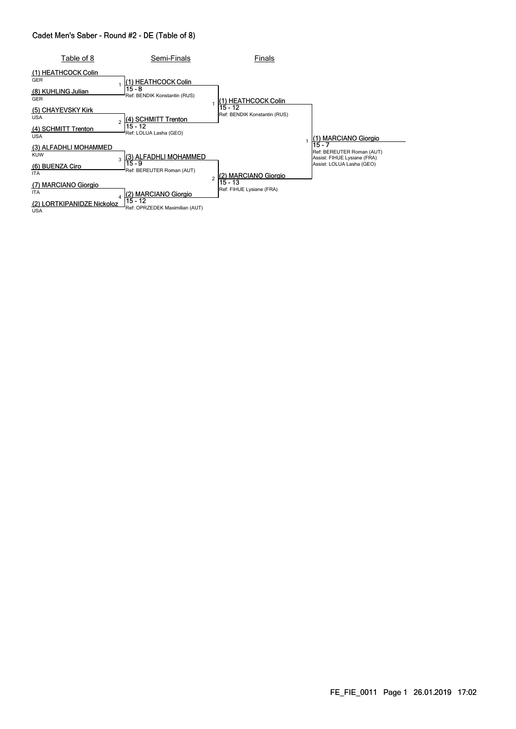| Table of 8                           | Semi-Finals                                             | Finals                                  |                                                                    |
|--------------------------------------|---------------------------------------------------------|-----------------------------------------|--------------------------------------------------------------------|
| (1) HEATHCOCK Colin<br><b>GER</b>    | (1) HEATHCOCK Colin                                     |                                         |                                                                    |
| (8) KUHLING Julian<br><b>GER</b>     | 15 - 8<br>Ref: BENDIK Konstantin (RUS)                  | l(1) HEATHCOCK Colin                    |                                                                    |
| (5) CHAYEVSKY Kirk<br><b>USA</b>     | (4) SCHMITT Trenton<br>$\overline{2}$                   | 15 - 12<br>Ref: BENDIK Konstantin (RUS) |                                                                    |
| (4) SCHMITT Trenton<br>USA           | 15 - 12<br>Ref: LOLUA Lasha (GEO)                       |                                         | <b>MARCIANO Giorgio</b><br>(1)                                     |
| (3) ALFADHLI MOHAMMED<br><b>KUW</b>  | (3) ALFADHLI MOHAMMED<br>3                              |                                         | 15 - 7<br>Ref: BEREUTER Roman (AUT)<br>Assist: FIHUE Lysiane (FRA) |
| (6) BUENZA Ciro<br><b>ITA</b>        | $15 - 9$<br>Ref: BEREUTER Roman (AUT)<br>$\overline{c}$ | (2) MARCIANO Giorgio                    | Assist: LOLUA Lasha (GEO)                                          |
| (7) MARCIANO Giorgio<br><b>ITA</b>   | <b>MARCIANO Giorgio</b>                                 | 15 - 13<br>Ref: FIHUE Lysiane (FRA)     |                                                                    |
| LORTKIPANIDZE Nickoloz<br><b>USA</b> | 15 - 12<br>Ref: OPRZEDEK Maximilian (AUT)               |                                         |                                                                    |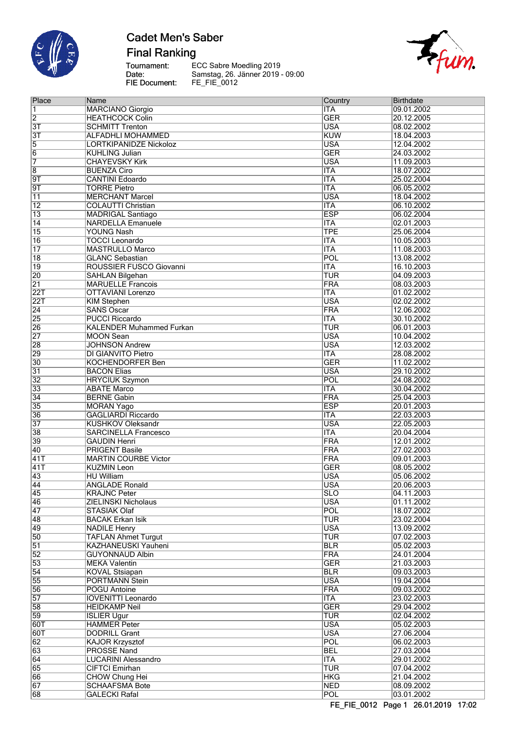

**Final Ranking** 

Tournament:<br>Date: FIE Document:

ECC Sabre Moedling 2019<br>Samstag, 26. Jänner 2019 - 09:00<br>FE\_FIE\_0012



| Place                              | Name                            | Country                   | Birthdate                |
|------------------------------------|---------------------------------|---------------------------|--------------------------|
| 1                                  | <b>MARCIANO Giorgio</b>         | <b>ITA</b>                | 09.01.2002               |
| $\overline{2}$                     | <b>HEATHCOCK Colin</b>          | <b>GER</b>                | 20.12.2005               |
| $\overline{3T}$                    | <b>SCHMITT Trenton</b>          | <b>USA</b>                | 08.02.2002               |
| $\overline{3T}$                    | <b>ALFADHLI MOHAMMED</b>        | <b>KUW</b>                | 18.04.2003               |
| 5                                  | <b>LORTKIPANIDZE Nickoloz</b>   | <b>USA</b>                | 12.04.2002               |
| 6                                  | <b>KUHLING Julian</b>           | <b>GER</b>                | 24.03.2002               |
| 7                                  | <b>CHAYEVSKY Kirk</b>           | <b>USA</b>                | 11.09.2003               |
| $\overline{8}$                     | <b>BUENZA Ciro</b>              | <b>ITA</b>                | 18.07.2002               |
| 9T                                 | <b>CANTINI Edoardo</b>          | <b>ITA</b>                | 25.02.2004               |
| $\overline{9T}$                    | <b>TORRE Pietro</b>             | <b>ITA</b>                | 06.05.2002               |
| $\overline{11}$                    | <b>MERCHANT Marcel</b>          | <b>USA</b>                | 18.04.2002               |
| $\overline{12}$                    | <b>COLAUTTI Christian</b>       | <b>ITA</b>                | 06.10.2002               |
| $\overline{13}$                    | <b>MADRIGAL Santiago</b>        | <b>ESP</b>                | 06.02.2004               |
| $\overline{14}$                    | <b>NARDELLA Emanuele</b>        | <b>ITA</b>                | 02.01.2003               |
| $\overline{15}$                    | <b>YOUNG Nash</b>               | <b>TPE</b>                | 25.06.2004               |
| $\overline{16}$                    | <b>TOCCI Leonardo</b>           | <b>ITA</b>                | 10.05.2003               |
| 17                                 | <b>MASTRULLO Marco</b>          | <b>ITA</b>                | 11.08.2003               |
| $\overline{18}$                    | <b>GLANC Sebastian</b>          | POL                       | 13.08.2002               |
| $\overline{19}$                    | ROUSSIER FUSCO Giovanni         | <b>ITA</b>                | 16.10.2003               |
|                                    |                                 | <b>TUR</b>                |                          |
| $\overline{20}$<br>$\overline{21}$ | <b>SAHLAN Bilgehan</b>          | FRA                       | 04.09.2003<br>08.03.2003 |
|                                    | <b>MARUELLE Francois</b>        |                           |                          |
| 22T                                | <b>OTTAVIANI Lorenzo</b>        | $\overline{\mathsf{ITA}}$ | 01.02.2002               |
| 22T                                | <b>KIM Stephen</b>              | <b>USA</b>                | 02.02.2002               |
| $\overline{24}$                    | <b>SANS Oscar</b>               | FRA                       | 12.06.2002               |
| $\overline{25}$                    | <b>PUCCI Riccardo</b>           | <b>ITA</b>                | 30.10.2002               |
| $\overline{26}$                    | <b>KALENDER Muhammed Furkan</b> | TUR                       | 06.01.2003               |
| $\overline{27}$                    | <b>MOON Sean</b>                | <b>USA</b>                | 10.04.2002               |
| 28                                 | <b>JOHNSON Andrew</b>           | <b>USA</b>                | 12.03.2002               |
| 29                                 | DI GIANVITO Pietro              | <b>ITA</b>                | 28.08.2002               |
| $\overline{30}$                    | <b>KOCHENDORFER Ben</b>         | <b>GER</b>                | 11.02.2002               |
| $\overline{31}$                    | <b>BACON Elias</b>              | <b>USA</b>                | 29.10.2002               |
| $\overline{32}$                    | <b>HRYCIUK Szymon</b>           | POL                       | 24.08.2002               |
| $\overline{33}$                    | <b>ABATE Marco</b>              | <b>ITA</b>                | 30.04.2002               |
| 34                                 | <b>BERNE Gabin</b>              | FRA                       | 25.04.2003               |
| $\overline{35}$                    | <b>MORAN Yago</b>               | <b>ESP</b>                | 20.01.2003               |
| $\overline{36}$                    | <b>GAGLIARDI Riccardo</b>       | <b>ITA</b>                | 22.03.2003               |
| $\overline{37}$                    | <b>KUSHKOV Oleksandr</b>        | <b>USA</b>                | 22.05.2003               |
| $\overline{38}$                    | <b>SARCINELLA Francesco</b>     | <b>ITA</b>                | 20.04.2004               |
| 39                                 | <b>GAUDIN Henri</b>             | FRA                       | 12.01.2002               |
| $\overline{40}$                    | <b>PRIGENT Basile</b>           | FRA                       | 27.02.2003               |
| 41T                                | <b>MARTIN COURBE Victor</b>     | FRA                       | 09.01.2003               |
| 41T                                | <b>KUZMIN Leon</b>              | <b>GER</b>                | 08.05.2002               |
| $\overline{43}$                    | <b>HU William</b>               | <b>USA</b>                | 05.06.2002               |
| 44                                 | <b>ANGLADE Ronald</b>           | <b>USA</b>                | 20.06.2003               |
| 45                                 | <b>KRAJNC Peter</b>             | <b>SLO</b>                | 04.11.2003               |
| 46                                 | <b>ZIELINSKI Nicholaus</b>      | <b>USA</b>                | 01.11.2002               |
| 47                                 | <b>STASIAK Olaf</b>             | POL                       | 18.07.2002               |
| 48                                 | <b>BACAK Erkan Isik</b>         | <b>TUR</b>                | 23.02.2004               |
| 49                                 | <b>NADILE Henry</b>             | <b>USA</b>                | 13.09.2002               |
| $\overline{50}$                    | <b>TAFLAN Ahmet Turgut</b>      | <b>TUR</b>                | 07.02.2003               |
| $\overline{51}$                    | KAZHANEUSKI Yauheni             | <b>BLR</b>                | 05.02.2003               |
| 52                                 | <b>GUYONNAUD Albin</b>          | <b>FRA</b>                | 24.01.2004               |
| 53                                 | <b>MEKA Valentin</b>            | <b>GER</b>                | 21.03.2003               |
| $\overline{54}$                    | <b>KOVAL Stsiapan</b>           | <b>BLR</b>                | 09.03.2003               |
| $\overline{55}$                    | PORTMANN Stein                  | <b>USA</b>                | 19.04.2004               |
| $\overline{56}$                    | <b>POGU Antoine</b>             | FRA                       | 09.03.2002               |
| $\overline{57}$                    | <b>IOVENITTI Leonardo</b>       | ITA                       | 23.02.2003               |
| $\overline{58}$                    | <b>HEIDKAMP Neil</b>            | <b>GER</b>                | 29.04.2002               |
|                                    |                                 | <b>TUR</b>                | 02.04.2002               |
| $\overline{59}$                    | <b>ISLIER Ugur</b>              |                           |                          |
| 60T                                | <b>HAMMER Peter</b>             | <b>USA</b>                | 05.02.2003               |
| 60T                                | <b>DODRILL Grant</b>            | <b>USA</b>                | 27.06.2004               |
| $\overline{62}$                    | KAJOR Krzysztof                 | POL                       | 06.02.2003               |
| 63                                 | <b>PROSSE Nand</b>              | <b>BEL</b>                | 27.03.2004               |
| 64                                 | <b>LUCARINI Alessandro</b>      | <b>ITA</b>                | 29.01.2002               |
| 65                                 | <b>CIFTCI Emirhan</b>           | <b>TUR</b>                | 07.04.2002               |
| 66                                 | <b>CHOW Chung Hei</b>           | <b>HKG</b>                | 21.04.2002               |
| 67                                 | <b>SCHAAFSMA Bote</b>           | <b>NED</b>                | 08.09.2002               |
| $\overline{68}$                    | <b>GALECKI Rafal</b>            | <b>POL</b>                | 03.01.2002               |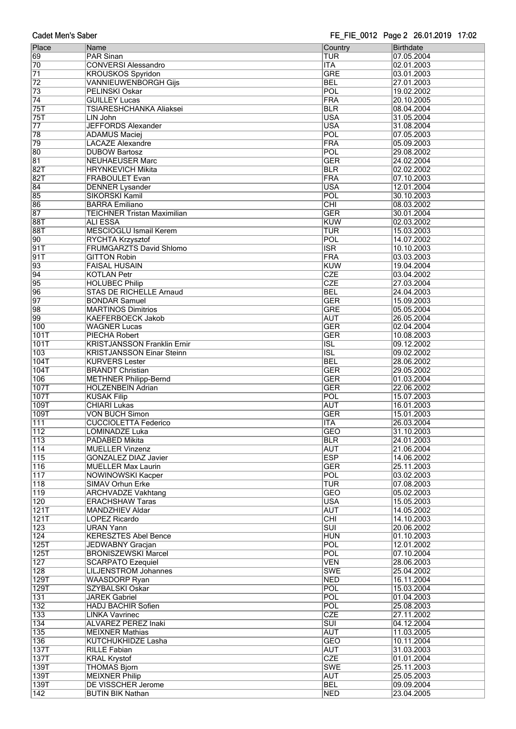| Place            | Name                               | Country                 | Birthdate  |
|------------------|------------------------------------|-------------------------|------------|
| 69               | <b>PAR Sinan</b>                   | TUR                     | 07.05.2004 |
| 70               | <b>CONVERSI Alessandro</b>         | <b>ITA</b>              | 02.01.2003 |
| $\overline{71}$  | <b>KROUSKOS Spyridon</b>           | <b>GRE</b>              | 03.01.2003 |
| $\overline{72}$  | <b>VANNIEUWENBORGH Gijs</b>        | <b>BEL</b>              | 27.01.2003 |
| 73               | PELINSKI Oskar                     | POL                     | 19.02.2002 |
| $\overline{74}$  | <b>GUILLEY Lucas</b>               | FRA                     | 20.10.2005 |
| 75T              | TSIARESHCHANKA Aliaksei            | <b>BLR</b>              | 08.04.2004 |
|                  |                                    |                         |            |
| 75T              | LIN John                           | <b>USA</b>              | 31.05.2004 |
| $\overline{77}$  | <b>JEFFORDS Alexander</b>          | <b>USA</b>              | 31.08.2004 |
| 78               | <b>ADAMUS Maciej</b>               | POL                     | 07.05.2003 |
| 79               | <b>LACAZE Alexandre</b>            | FRA                     | 05.09.2003 |
| 80               | <b>DUBOW Bartosz</b>               | POL                     | 29.08.2002 |
| 81               | <b>NEUHAEUSER Marc</b>             | <b>GER</b>              | 24.02.2004 |
| 82T              | <b>HRYNKEVICH Mikita</b>           | <b>BLR</b>              | 02.02.2002 |
| 82T              | <b>FRABOULET Evan</b>              | FRA                     | 07.10.2003 |
| $\overline{84}$  | <b>DENNER Lysander</b>             | <b>USA</b>              | 12.01.2004 |
| 85               | SIKORSKI Kamil                     | POL                     | 30.10.2003 |
|                  |                                    |                         |            |
| 86               | <b>BARRA Emiliano</b>              | $\overline{CHI}$        | 08.03.2002 |
| 87               | <b>TEICHNER Tristan Maximilian</b> | <b>GER</b>              | 30.01.2004 |
| <b>88T</b>       | <b>ALI ESSA</b>                    | <b>KUW</b>              | 02.03.2002 |
| 88T              | <b>MESCIOGLU Ismail Kerem</b>      | TUR                     | 15.03.2003 |
| $\overline{90}$  | RYCHTA Krzysztof                   | POL                     | 14.07.2002 |
| 91T              | <b>FRUMGARZTS David Shlomo</b>     | $\overline{\text{ISR}}$ | 10.10.2003 |
| 91T              | <b>GITTON Robin</b>                | FRA                     | 03.03.2003 |
| 93               | <b>FAISAL HUSAIN</b>               | <b>KUW</b>              | 19.04.2004 |
|                  |                                    | <b>CZE</b>              |            |
| $\overline{94}$  | <b>KOTLAN Petr</b>                 |                         | 03.04.2002 |
| 95               | <b>HOLUBEC Philip</b>              | <b>CZE</b>              | 27.03.2004 |
| 96               | <b>STAS DE RICHELLE Arnaud</b>     | <b>BEL</b>              | 24.04.2003 |
| $\overline{97}$  | <b>BONDAR Samuel</b>               | <b>GER</b>              | 15.09.2003 |
| 98               | <b>MARTINOS Dimitrios</b>          | <b>GRE</b>              | 05.05.2004 |
| 99               | <b>KAEFERBOECK Jakob</b>           | <b>AUT</b>              | 26.05.2004 |
| 100              | <b>WAGNER Lucas</b>                | <b>GER</b>              | 02.04.2004 |
| 101T             | <b>PIECHA Robert</b>               | <b>GER</b>              | 10.08.2003 |
| 101T             |                                    |                         |            |
|                  | <b>KRISTJANSSON Franklin Ernir</b> | $\overline{\text{ISL}}$ | 09.12.2002 |
| 103              | <b>KRISTJANSSON Einar Steinn</b>   | $\overline{\text{ISL}}$ | 09.02.2002 |
| 104T             | <b>KURVERS Lester</b>              | <b>BEL</b>              | 28.06.2002 |
| 104T             | <b>BRANDT Christian</b>            | <b>GER</b>              | 29.05.2002 |
| 106              | <b>METHNER Philipp-Bernd</b>       | <b>GER</b>              | 01.03.2004 |
| <b>107T</b>      | <b>HOLZENBEIN Adrian</b>           | <b>GER</b>              | 22.06.2002 |
| <b>107T</b>      | <b>KUSAK Filip</b>                 | POL                     | 15.07.2003 |
| 109T             | <b>CHIARI Lukas</b>                | <b>AUT</b>              | 16.01.2003 |
| 109T             | <b>VON BUCH Simon</b>              | <b>GER</b>              | 15.01.2003 |
|                  |                                    |                         |            |
| 111              | <b>CUCCIOLETTA Federico</b>        | <b>ITA</b>              | 26.03.2004 |
| 112              | LOMINADZE Luka                     | <b>GEO</b>              | 31.10.2003 |
| 113              | PADABED Mikita                     | <b>BLR</b>              | 24.01.2003 |
| 114              | <b>MUELLER Vinzenz</b>             | <b>AUT</b>              | 21.06.2004 |
| $\overline{115}$ | GONZALEZ DIAZ Javier               | <b>ESP</b>              | 14.06.2002 |
| 116              | <b>MUELLER Max Laurin</b>          | <b>GER</b>              | 25.11.2003 |
| 117              | <b>NOWINOWSKI Kacper</b>           | POL                     | 03.02.2003 |
| 118              | SIMAV Orhun Erke                   | TUR                     | 07.08.2003 |
| 119              |                                    | <b>GEO</b>              | 05.02.2003 |
|                  | <b>ARCHVADZE Vakhtang</b>          | <b>USA</b>              |            |
| 120              | <b>ERACHSHAW Taras</b>             |                         | 15.05.2003 |
| 121T             | <b>MANDZHIEV Aldar</b>             | <b>AUT</b>              | 14.05.2002 |
| 121T             | LOPEZ Ricardo                      | $\overline{CHI}$        | 14.10.2003 |
| $\overline{123}$ | <b>URAN Yann</b>                   | $\overline{\text{SUI}}$ | 20.06.2002 |
| 124              | <b>KERESZTES Abel Bence</b>        | <b>HUN</b>              | 01.10.2003 |
| 125T             | <b>JEDWABNY Gracjan</b>            | POL                     | 12.01.2002 |
| 125T             | <b>BRONISZEWSKI Marcel</b>         | POL                     | 07.10.2004 |
| 127              | <b>SCARPATO Ezequiel</b>           | <b>VEN</b>              | 28.06.2003 |
| 128              | <b>LILJENSTROM Johannes</b>        | <b>SWE</b>              | 25.04.2002 |
| 129T             |                                    | <b>NED</b>              |            |
|                  | <b>WAASDORP Ryan</b>               |                         | 16.11.2004 |
| 129T             | SZYBALSKI Oskar                    | POL                     | 15.03.2004 |
| 131              | <b>JAREK Gabriel</b>               | POL                     | 01.04.2003 |
| 132              | <b>HADJ BACHIR Sofien</b>          | POL                     | 25.08.2003 |
| 133              | <b>LINKA Vavrinec</b>              | <b>CZE</b>              | 27.11.2002 |
| 134              | ALVAREZ PEREZ Inaki                | $\overline{\text{SUI}}$ | 04.12.2004 |
| 135              | <b>MEIXNER Mathias</b>             | <b>AUT</b>              | 11.03.2005 |
| 136              | <b>KUTCHUKHIDZE Lasha</b>          | <b>GEO</b>              | 10.11.2004 |
| 137T             |                                    |                         |            |
|                  | <b>RILLE Fabian</b>                | <b>AUT</b>              | 31.03.2003 |
| 137T             | <b>KRAL Krystof</b>                | <b>CZE</b>              | 01.01.2004 |
| 139T             | <b>THOMAS Bjorn</b>                | <b>SWE</b>              | 25.11.2003 |
| 139T             | <b>MEIXNER Philip</b>              | <b>AUT</b>              | 25.05.2003 |
| 139T             | DE VISSCHER Jerome                 | <b>BEL</b>              | 09.09.2004 |
| 142              | <b>BUTIN BIK Nathan</b>            | <b>NED</b>              | 23.04.2005 |
|                  |                                    |                         |            |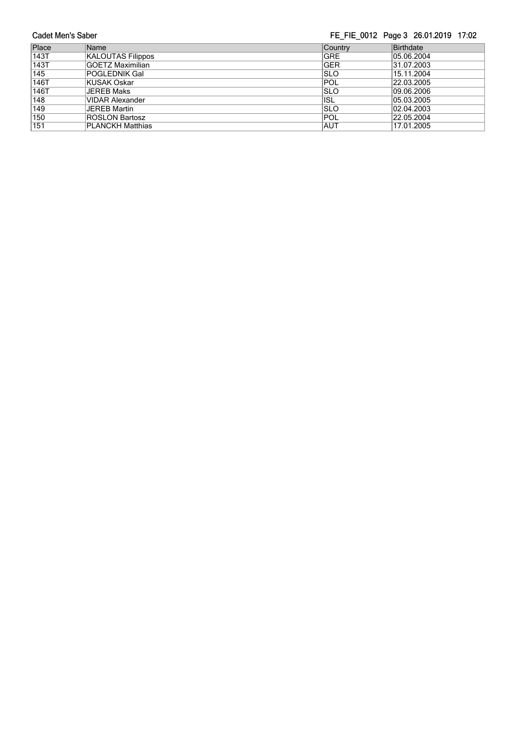**Cadet Men's Saber** FE\_FIE\_0012 Page 3 26.01.2019 17:02 Place Name Research Country Birthdate 143T KALOUTAS Filippos GRE GRE 15.06.2004 143T GOETZ Maximilian GER 31.07.2003 1451 GOETZ Maximilari<br>
145 POGLEDNIK Gal<br>
146T KUSAK Oskar POL 22.03.2005<br>
146T JEREB Maks SLO 09.06.2006<br>
148 VIDAR Alexander ISL 05.03.2005 145 POGLEDNIK Gal SLO 15.11.2004 146T KUSAK Oskar POL 22.03.2005 148 VIDAR Alexander 148 VIDAR Alexander 148 VIDAR Alexander 15 Control 15 Control 15 Control 149 VIDAR Alexander<br>149 JEREB Martin 149 SLO 12003 149 JEREB Martin SLO 02.04.2003<br>150 ROSLON Bartosz POL 22.05.2004<br>151 PLANCKH Matthias AUT 17.01.2005 150 ROSLON Bartosz POL 22.05.2004 151 PLANCKH Matthias **AUT** 17.01.2005